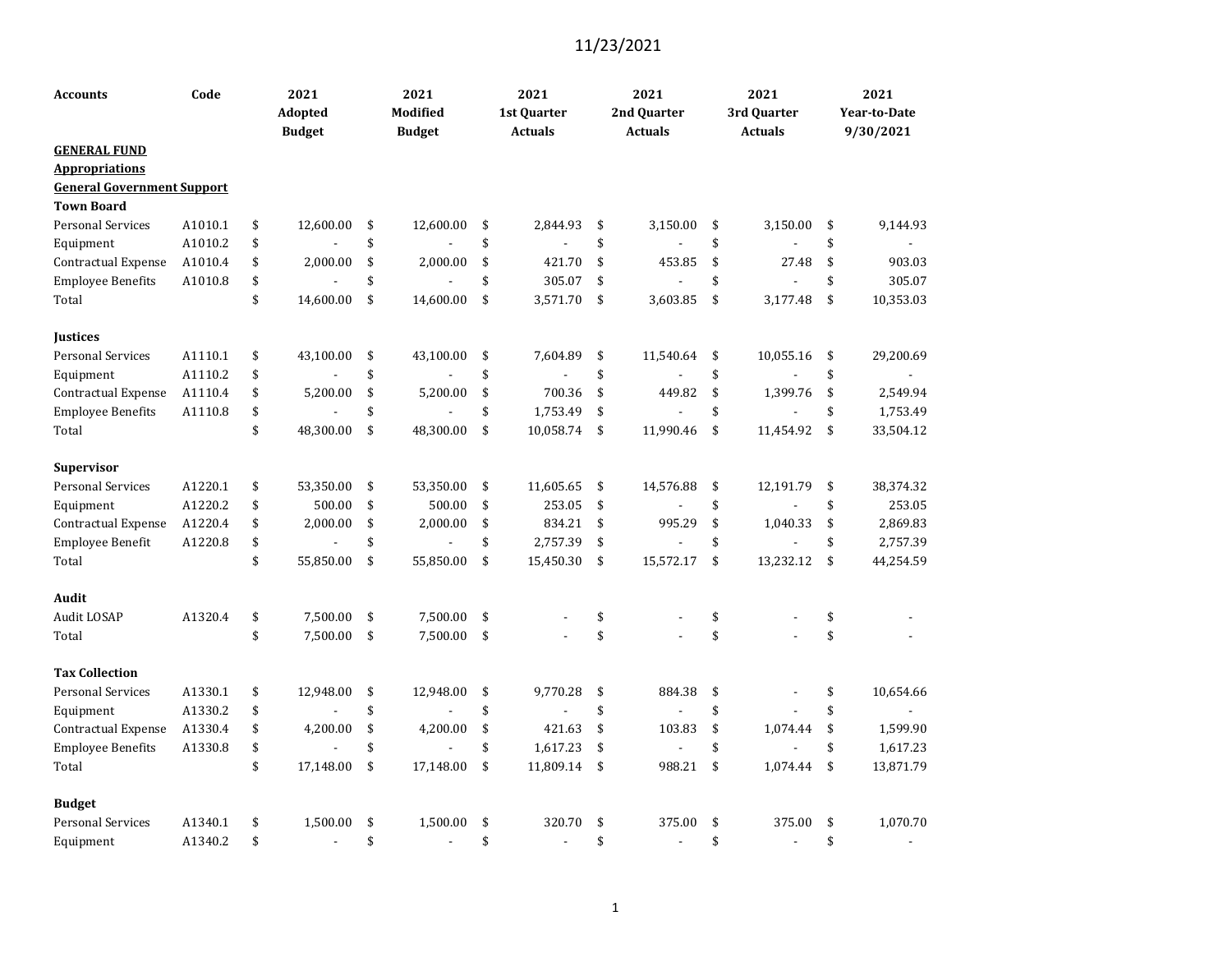| <b>Accounts</b>                              | Code    | 2021<br><b>Adopted</b><br><b>Budget</b> | 2021<br>Modified<br><b>Budget</b> | 2021<br>1st Quarter<br><b>Actuals</b> | 2021<br>2nd Quarter<br><b>Actuals</b> | 2021<br>3rd Quarter<br><b>Actuals</b> | 2021<br><b>Year-to-Date</b><br>9/30/2021 |
|----------------------------------------------|---------|-----------------------------------------|-----------------------------------|---------------------------------------|---------------------------------------|---------------------------------------|------------------------------------------|
| <b>GENERAL FUND</b><br><b>Appropriations</b> |         |                                         |                                   |                                       |                                       |                                       |                                          |
| <b>General Government Support</b>            |         |                                         |                                   |                                       |                                       |                                       |                                          |
| <b>Town Board</b>                            |         |                                         |                                   |                                       |                                       |                                       |                                          |
| <b>Personal Services</b>                     | A1010.1 | \$<br>12,600.00                         | \$<br>12,600.00                   | \$<br>2,844.93                        | \$<br>3,150.00                        | \$<br>3,150.00                        | \$<br>9,144.93                           |
| Equipment                                    | A1010.2 | \$                                      | \$                                | \$                                    | \$                                    | \$                                    | \$                                       |
| <b>Contractual Expense</b>                   | A1010.4 | \$<br>2,000.00                          | \$<br>2,000.00                    | \$<br>421.70                          | \$<br>453.85                          | \$<br>27.48                           | \$<br>903.03                             |
| <b>Employee Benefits</b>                     | A1010.8 | \$                                      | \$                                | \$<br>305.07                          | \$                                    | \$                                    | \$<br>305.07                             |
| Total                                        |         | \$<br>14,600.00                         | \$<br>14,600.00                   | \$<br>3,571.70                        | \$<br>3,603.85                        | \$<br>3,177.48                        | \$<br>10,353.03                          |
| <b>Justices</b>                              |         |                                         |                                   |                                       |                                       |                                       |                                          |
| <b>Personal Services</b>                     | A1110.1 | \$<br>43,100.00                         | \$<br>43,100.00                   | \$<br>7,604.89                        | \$<br>11,540.64                       | \$<br>10,055.16                       | \$<br>29,200.69                          |
| Equipment                                    | A1110.2 | \$                                      | \$                                | \$                                    | \$                                    | \$                                    | \$                                       |
| Contractual Expense                          | A1110.4 | \$<br>5,200.00                          | \$<br>5,200.00                    | \$<br>700.36                          | \$<br>449.82                          | \$<br>1,399.76                        | \$<br>2,549.94                           |
| <b>Employee Benefits</b>                     | A1110.8 | \$                                      | \$                                | \$<br>1,753.49                        | \$                                    | \$                                    | \$<br>1,753.49                           |
| Total                                        |         | \$<br>48,300.00                         | \$<br>48,300.00                   | \$<br>10,058.74                       | \$<br>11,990.46                       | \$<br>11,454.92                       | \$<br>33,504.12                          |
| <b>Supervisor</b>                            |         |                                         |                                   |                                       |                                       |                                       |                                          |
| <b>Personal Services</b>                     | A1220.1 | \$<br>53,350.00                         | \$<br>53,350.00                   | \$<br>11,605.65                       | \$<br>14,576.88                       | \$<br>12,191.79                       | \$<br>38,374.32                          |
| Equipment                                    | A1220.2 | \$<br>500.00                            | \$<br>500.00                      | \$<br>253.05                          | \$                                    | \$                                    | \$<br>253.05                             |
| Contractual Expense                          | A1220.4 | \$<br>2,000.00                          | \$<br>2,000.00                    | \$<br>834.21                          | \$<br>995.29                          | \$<br>1,040.33                        | \$<br>2,869.83                           |
| Employee Benefit                             | A1220.8 | \$<br>$\overline{a}$                    | \$<br>$\overline{a}$              | \$<br>2,757.39                        | \$                                    | \$                                    | \$<br>2,757.39                           |
| Total                                        |         | \$<br>55,850.00                         | \$<br>55,850.00                   | \$<br>15,450.30                       | \$<br>15,572.17                       | \$<br>13,232.12                       | \$<br>44,254.59                          |
| <b>Audit</b>                                 |         |                                         |                                   |                                       |                                       |                                       |                                          |
| Audit LOSAP                                  | A1320.4 | \$<br>7,500.00                          | \$<br>7,500.00                    | \$                                    | \$                                    | \$                                    | \$                                       |
| Total                                        |         | \$<br>7,500.00                          | \$<br>7,500.00                    | \$                                    | \$                                    | \$                                    | \$                                       |
| <b>Tax Collection</b>                        |         |                                         |                                   |                                       |                                       |                                       |                                          |
| <b>Personal Services</b>                     | A1330.1 | \$<br>12,948.00                         | \$<br>12,948.00                   | \$<br>9,770.28                        | \$<br>884.38                          | \$                                    | \$<br>10,654.66                          |
| Equipment                                    | A1330.2 | \$                                      | \$                                | \$                                    | \$                                    | \$                                    | \$                                       |
| Contractual Expense                          | A1330.4 | \$<br>4,200.00                          | \$<br>4,200.00                    | \$<br>421.63                          | \$<br>103.83                          | \$<br>1,074.44                        | \$<br>1,599.90                           |
| <b>Employee Benefits</b>                     | A1330.8 | \$                                      | \$                                | \$<br>1,617.23                        | \$                                    | \$                                    | \$<br>1,617.23                           |
| Total                                        |         | \$<br>17,148.00                         | \$<br>17,148.00                   | \$<br>11,809.14                       | \$<br>988.21                          | \$<br>1.074.44                        | \$<br>13,871.79                          |
| <b>Budget</b>                                |         |                                         |                                   |                                       |                                       |                                       |                                          |
| <b>Personal Services</b>                     | A1340.1 | \$<br>1,500.00                          | \$<br>1,500.00                    | \$<br>320.70                          | \$<br>375.00                          | \$<br>375.00                          | \$<br>1,070.70                           |
| Equipment                                    | A1340.2 | \$                                      | \$<br>$\overline{a}$              | \$                                    | \$                                    | \$                                    | \$<br>$\blacksquare$                     |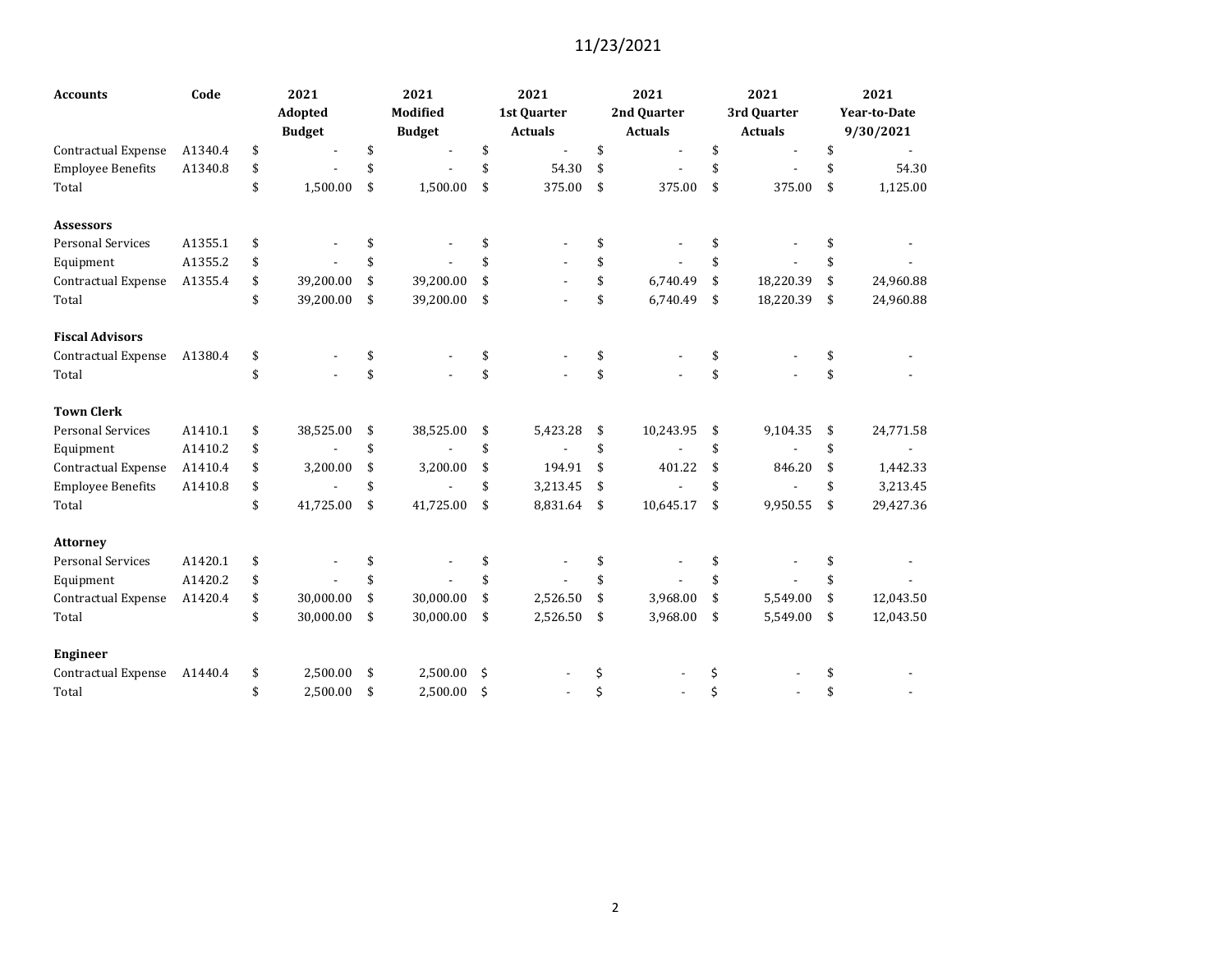| <b>Accounts</b>            | Code    | 2021                           |     | 2021            | 2021           | 2021            | 2021            | 2021                |
|----------------------------|---------|--------------------------------|-----|-----------------|----------------|-----------------|-----------------|---------------------|
|                            |         | <b>Adopted</b>                 |     | <b>Modified</b> | 1st Quarter    | 2nd Quarter     | 3rd Quarter     | <b>Year-to-Date</b> |
|                            |         | <b>Budget</b>                  |     | <b>Budget</b>   | <b>Actuals</b> | <b>Actuals</b>  | <b>Actuals</b>  | 9/30/2021           |
| <b>Contractual Expense</b> | A1340.4 | \$                             | \$  |                 | \$             | \$              | \$              | \$                  |
| <b>Employee Benefits</b>   | A1340.8 | \$                             | \$  |                 | \$<br>54.30    | \$              | \$              | \$<br>54.30         |
| Total                      |         | \$<br>1,500.00                 | \$  | 1,500.00        | \$<br>375.00   | \$<br>375.00    | \$<br>375.00    | \$<br>1,125.00      |
| <b>Assessors</b>           |         |                                |     |                 |                |                 |                 |                     |
| <b>Personal Services</b>   | A1355.1 | \$                             | \$  |                 | \$             |                 |                 |                     |
| Equipment                  | A1355.2 | \$                             | \$  |                 | \$             | \$              |                 |                     |
| <b>Contractual Expense</b> | A1355.4 | \$<br>39,200.00                | \$  | 39,200.00       | \$             | \$<br>6,740.49  | \$<br>18,220.39 | \$<br>24,960.88     |
| Total                      |         | \$<br>39,200.00                | \$  | 39,200.00       | \$             | \$<br>6,740.49  | \$<br>18,220.39 | \$<br>24,960.88     |
| <b>Fiscal Advisors</b>     |         |                                |     |                 |                |                 |                 |                     |
| Contractual Expense        | A1380.4 | \$                             | \$  |                 | \$             | \$              | \$              |                     |
| Total                      |         | \$                             | \$  |                 | \$             | \$              | \$              |                     |
| <b>Town Clerk</b>          |         |                                |     |                 |                |                 |                 |                     |
| <b>Personal Services</b>   | A1410.1 | \$<br>38,525.00                | \$  | 38,525.00       | \$<br>5,423.28 | \$<br>10,243.95 | \$<br>9,104.35  | \$<br>24,771.58     |
| Equipment                  | A1410.2 | \$<br>$\overline{\phantom{a}}$ | \$  |                 | \$             | \$              | \$              | \$                  |
| Contractual Expense        | A1410.4 | \$<br>3,200.00                 | \$  | 3,200.00        | \$<br>194.91   | \$<br>401.22    | \$<br>846.20    | \$<br>1,442.33      |
| <b>Employee Benefits</b>   | A1410.8 | \$                             | \$  |                 | \$<br>3,213.45 | \$              | \$              | \$<br>3,213.45      |
| Total                      |         | \$<br>41,725.00                | \$  | 41,725.00       | \$<br>8,831.64 | \$<br>10,645.17 | \$<br>9,950.55  | \$<br>29,427.36     |
| <b>Attorney</b>            |         |                                |     |                 |                |                 |                 |                     |
| <b>Personal Services</b>   | A1420.1 | \$                             | \$. |                 | \$             |                 |                 |                     |
| Equipment                  | A1420.2 | \$                             | \$  |                 | \$             |                 |                 | \$                  |
| Contractual Expense        | A1420.4 | \$<br>30,000.00                | \$  | 30,000.00       | \$<br>2,526.50 | \$<br>3,968.00  | \$<br>5,549.00  | \$<br>12,043.50     |
| Total                      |         | \$<br>30,000.00                | \$  | 30,000.00       | \$<br>2,526.50 | \$<br>3,968.00  | \$<br>5,549.00  | \$<br>12,043.50     |
| <b>Engineer</b>            |         |                                |     |                 |                |                 |                 |                     |
| <b>Contractual Expense</b> | A1440.4 | \$<br>2,500.00                 | \$  | 2,500.00        | \$             | \$              | \$              |                     |
| Total                      |         | \$<br>2,500.00                 | \$  | 2,500.00        | \$             | \$              | \$              | \$                  |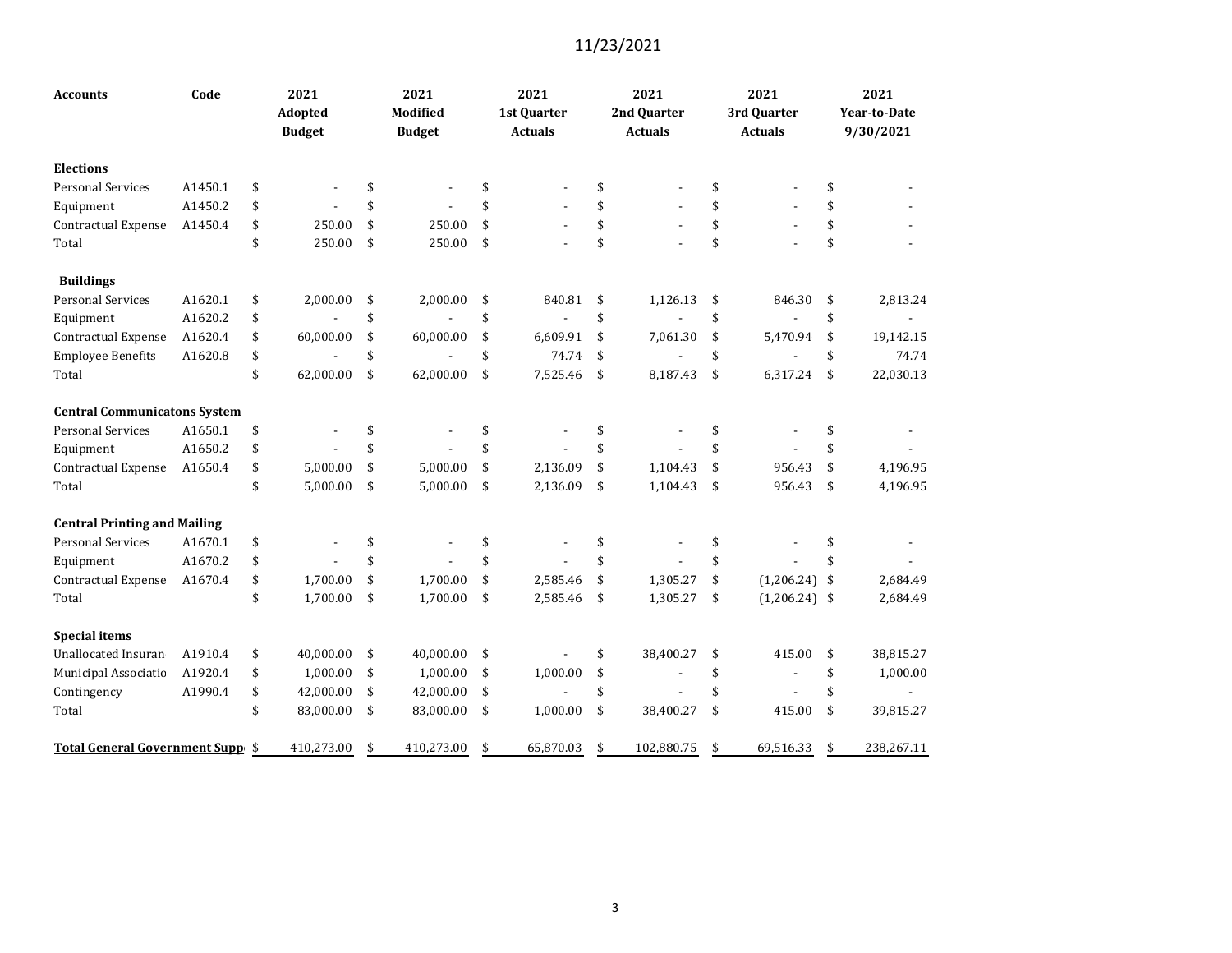| <b>Accounts</b>                     | Code    | 2021<br>Adopted<br><b>Budget</b> | 2021<br><b>Modified</b><br><b>Budget</b> | 2021<br>1st Quarter<br><b>Actuals</b> | 2021<br>2nd Quarter<br><b>Actuals</b> | 2021<br>3rd Quarter<br><b>Actuals</b> | 2021<br><b>Year-to-Date</b><br>9/30/2021 |
|-------------------------------------|---------|----------------------------------|------------------------------------------|---------------------------------------|---------------------------------------|---------------------------------------|------------------------------------------|
| <b>Elections</b>                    |         |                                  |                                          |                                       |                                       |                                       |                                          |
| <b>Personal Services</b>            | A1450.1 | \$                               | \$                                       | \$                                    | \$                                    | \$                                    | \$                                       |
| Equipment                           | A1450.2 | \$                               | \$                                       | \$                                    | \$                                    | \$                                    | \$                                       |
| <b>Contractual Expense</b>          | A1450.4 | \$<br>250.00                     | \$<br>250.00                             | \$                                    | \$                                    | \$                                    | \$                                       |
| Total                               |         | \$<br>250.00                     | \$<br>250.00                             | \$                                    | \$                                    | \$                                    | \$                                       |
| <b>Buildings</b>                    |         |                                  |                                          |                                       |                                       |                                       |                                          |
| <b>Personal Services</b>            | A1620.1 | \$<br>2,000.00                   | \$<br>2,000.00                           | \$<br>840.81                          | \$<br>1,126.13                        | \$<br>846.30                          | \$<br>2,813.24                           |
| Equipment                           | A1620.2 | \$                               | \$                                       | \$                                    | \$                                    | \$                                    | \$                                       |
| Contractual Expense                 | A1620.4 | \$<br>60,000.00                  | \$<br>60,000.00                          | \$<br>6,609.91                        | \$<br>7,061.30                        | \$<br>5,470.94                        | \$<br>19,142.15                          |
| <b>Employee Benefits</b>            | A1620.8 | \$                               | \$                                       | \$<br>74.74                           | \$                                    | \$                                    | \$<br>74.74                              |
| Total                               |         | \$<br>62,000.00                  | \$<br>62,000.00                          | \$<br>7,525.46                        | \$<br>8,187.43                        | \$<br>6,317.24                        | \$<br>22,030.13                          |
| <b>Central Communicatons System</b> |         |                                  |                                          |                                       |                                       |                                       |                                          |
| <b>Personal Services</b>            | A1650.1 | \$                               | \$                                       | \$                                    | \$                                    | \$                                    | \$                                       |
| Equipment                           | A1650.2 | \$                               | \$                                       | \$                                    | \$                                    | \$                                    | \$                                       |
| Contractual Expense                 | A1650.4 | \$<br>5,000.00                   | \$<br>5,000.00                           | \$<br>2,136.09                        | \$<br>1,104.43                        | \$<br>956.43                          | \$<br>4,196.95                           |
| Total                               |         | \$<br>5,000.00                   | \$<br>5,000.00                           | \$<br>2,136.09                        | \$<br>1,104.43                        | \$<br>956.43                          | \$<br>4,196.95                           |
| <b>Central Printing and Mailing</b> |         |                                  |                                          |                                       |                                       |                                       |                                          |
| <b>Personal Services</b>            | A1670.1 | \$                               | \$                                       | \$                                    | \$                                    | \$                                    | \$                                       |
| Equipment                           | A1670.2 | \$                               | \$                                       | \$                                    | \$                                    | \$                                    | \$                                       |
| Contractual Expense                 | A1670.4 | \$<br>1,700.00                   | \$<br>1,700.00                           | \$<br>2,585.46                        | \$<br>1,305.27                        | \$<br>$(1,206.24)$ \$                 | 2,684.49                                 |
| Total                               |         | \$<br>1,700.00                   | \$<br>1,700.00                           | \$<br>2,585.46                        | \$<br>1,305.27                        | \$<br>$(1,206.24)$ \$                 | 2,684.49                                 |
| <b>Special items</b>                |         |                                  |                                          |                                       |                                       |                                       |                                          |
| <b>Unallocated Insuran</b>          | A1910.4 | \$<br>40,000.00                  | \$<br>40,000.00                          | \$                                    | \$<br>38,400.27                       | \$<br>415.00                          | \$<br>38,815.27                          |
| Municipal Associatio                | A1920.4 | \$<br>1,000.00                   | \$<br>1,000.00                           | \$<br>1,000.00                        | \$                                    | \$                                    | \$<br>1,000.00                           |
| Contingency                         | A1990.4 | \$<br>42,000.00                  | \$<br>42,000.00                          | \$                                    | \$                                    | \$                                    | \$                                       |
| Total                               |         | \$<br>83,000.00                  | \$<br>83,000.00                          | \$<br>1,000.00                        | \$<br>38,400.27                       | \$<br>415.00                          | \$<br>39,815.27                          |
| Total General Government Supp \$    |         | 410,273.00                       | \$<br>410,273.00                         | \$<br>65,870.03                       | \$<br>102,880.75                      | \$<br>69,516.33                       | \$<br>238,267.11                         |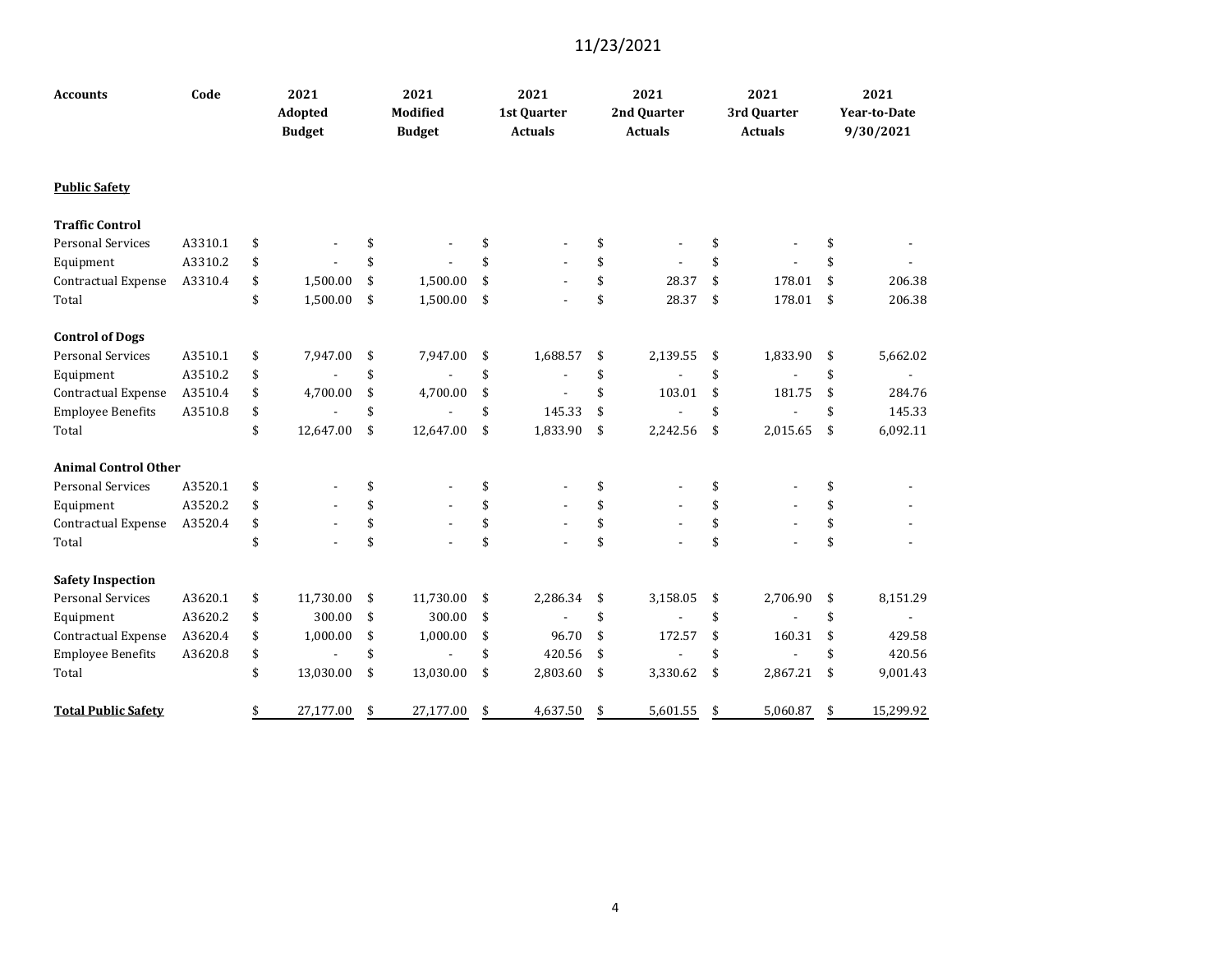| <b>Accounts</b>             | Code    | 2021<br>Adopted<br><b>Budget</b> | 2021<br>Modified<br><b>Budget</b> | 2021<br>1st Quarter<br><b>Actuals</b> | 2021<br>2nd Quarter<br><b>Actuals</b> | 2021<br>3rd Quarter<br><b>Actuals</b> | 2021<br>Year-to-Date<br>9/30/2021 |
|-----------------------------|---------|----------------------------------|-----------------------------------|---------------------------------------|---------------------------------------|---------------------------------------|-----------------------------------|
| <b>Public Safety</b>        |         |                                  |                                   |                                       |                                       |                                       |                                   |
| <b>Traffic Control</b>      |         |                                  |                                   |                                       |                                       |                                       |                                   |
| <b>Personal Services</b>    | A3310.1 | \$                               | \$                                | \$                                    | \$                                    | \$                                    | \$                                |
| Equipment                   | A3310.2 | \$                               | \$                                | \$                                    | \$                                    | \$                                    | \$                                |
| Contractual Expense         | A3310.4 | \$<br>1,500.00                   | \$<br>1,500.00                    | \$                                    | \$<br>28.37                           | \$<br>178.01                          | \$<br>206.38                      |
| Total                       |         | \$<br>1,500.00                   | \$<br>1,500.00                    | \$                                    | \$<br>28.37                           | \$<br>178.01                          | \$<br>206.38                      |
| <b>Control of Dogs</b>      |         |                                  |                                   |                                       |                                       |                                       |                                   |
| <b>Personal Services</b>    | A3510.1 | \$<br>7,947.00                   | \$<br>7,947.00                    | \$<br>1,688.57                        | \$<br>2,139.55                        | \$<br>1,833.90                        | \$<br>5,662.02                    |
| Equipment                   | A3510.2 | \$                               | \$                                | \$                                    | \$                                    | \$                                    | \$<br>$\blacksquare$              |
| Contractual Expense         | A3510.4 | \$<br>4,700.00                   | \$<br>4,700.00                    | \$                                    | \$<br>103.01                          | \$<br>181.75                          | \$<br>284.76                      |
| <b>Employee Benefits</b>    | A3510.8 | \$<br>$\blacksquare$             | \$                                | \$<br>145.33                          | \$                                    | \$                                    | \$<br>145.33                      |
| Total                       |         | \$<br>12,647.00                  | \$<br>12,647.00                   | \$<br>1,833.90                        | \$<br>2,242.56                        | \$<br>2,015.65                        | \$<br>6,092.11                    |
| <b>Animal Control Other</b> |         |                                  |                                   |                                       |                                       |                                       |                                   |
| <b>Personal Services</b>    | A3520.1 | \$                               | \$                                | \$                                    | \$                                    | \$                                    | \$                                |
| Equipment                   | A3520.2 | \$                               | \$                                | \$                                    | \$                                    | \$                                    | \$                                |
| Contractual Expense         | A3520.4 | \$                               | \$                                | \$                                    | \$                                    | \$                                    | \$                                |
| Total                       |         | \$                               | \$                                | \$                                    | \$                                    | \$                                    | \$                                |
| <b>Safety Inspection</b>    |         |                                  |                                   |                                       |                                       |                                       |                                   |
| <b>Personal Services</b>    | A3620.1 | \$<br>11,730.00                  | \$<br>11,730.00                   | \$<br>2,286.34                        | \$<br>3,158.05                        | \$<br>2,706.90                        | \$<br>8,151.29                    |
| Equipment                   | A3620.2 | \$<br>300.00                     | \$<br>300.00                      | \$                                    | \$                                    | \$                                    | \$                                |
| Contractual Expense         | A3620.4 | \$<br>1,000.00                   | \$<br>1,000.00                    | \$<br>96.70                           | \$<br>172.57                          | \$<br>160.31                          | \$<br>429.58                      |
| <b>Employee Benefits</b>    | A3620.8 | \$                               | \$                                | \$<br>420.56                          | \$                                    | \$                                    | \$<br>420.56                      |
| Total                       |         | \$<br>13,030.00                  | \$<br>13,030.00                   | \$<br>2,803.60                        | \$<br>3,330.62                        | \$<br>2,867.21                        | \$<br>9,001.43                    |
| <b>Total Public Safety</b>  |         | \$<br>27,177.00                  | \$<br>27,177.00                   | \$<br>4,637.50                        | \$<br>5,601.55                        | \$<br>5,060.87                        | \$<br>15,299.92                   |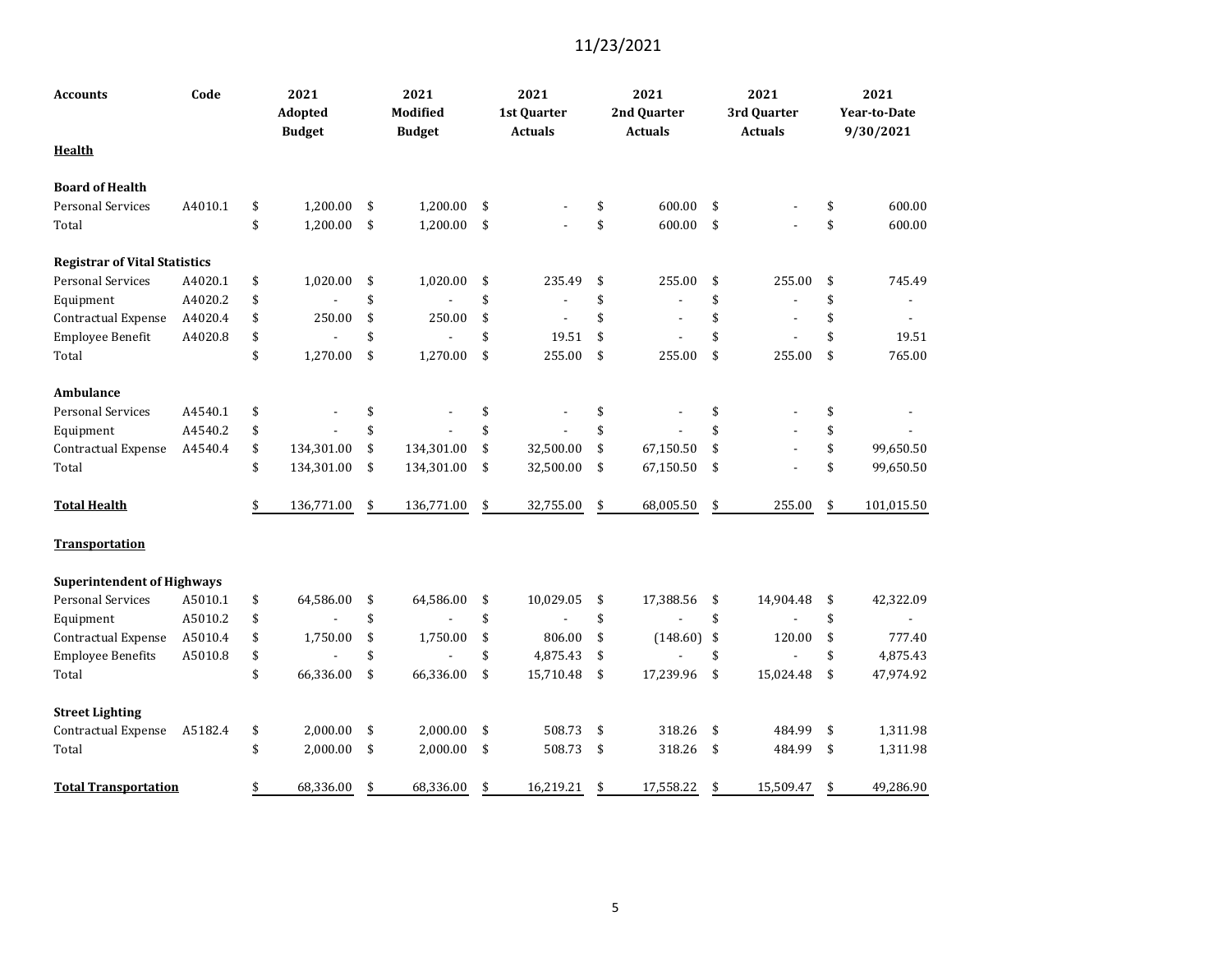| Accounts                             | Code    | 2021<br>Adopted<br><b>Budget</b> | 2021<br><b>Modified</b><br><b>Budget</b> | 2021<br>1st Quarter<br><b>Actuals</b> | 2021<br>2nd Quarter<br><b>Actuals</b> | 2021<br>3rd Quarter<br><b>Actuals</b> | 2021<br>Year-to-Date<br>9/30/2021 |
|--------------------------------------|---------|----------------------------------|------------------------------------------|---------------------------------------|---------------------------------------|---------------------------------------|-----------------------------------|
| Health                               |         |                                  |                                          |                                       |                                       |                                       |                                   |
| <b>Board of Health</b>               |         |                                  |                                          |                                       |                                       |                                       |                                   |
| <b>Personal Services</b>             | A4010.1 | \$<br>1,200.00                   | \$<br>1,200.00                           | \$                                    | \$<br>600.00                          | \$                                    | \$<br>600.00                      |
| Total                                |         | \$<br>1,200.00                   | \$<br>1,200.00                           | \$                                    | \$<br>600.00                          | \$                                    | \$<br>600.00                      |
| <b>Registrar of Vital Statistics</b> |         |                                  |                                          |                                       |                                       |                                       |                                   |
| <b>Personal Services</b>             | A4020.1 | \$<br>1,020.00                   | \$<br>1,020.00                           | \$<br>235.49                          | \$<br>255.00                          | \$<br>255.00                          | \$<br>745.49                      |
| Equipment                            | A4020.2 | \$                               | \$                                       | \$                                    | \$                                    | \$                                    | \$                                |
| Contractual Expense                  | A4020.4 | \$<br>250.00                     | \$<br>250.00                             | \$                                    | \$                                    | \$                                    | \$                                |
| Employee Benefit                     | A4020.8 | \$                               | \$                                       | \$<br>19.51                           | \$                                    | \$                                    | \$<br>19.51                       |
| Total                                |         | \$<br>1,270.00                   | \$<br>1,270.00                           | \$<br>255.00                          | \$<br>255.00                          | \$<br>255.00                          | \$<br>765.00                      |
| <b>Ambulance</b>                     |         |                                  |                                          |                                       |                                       |                                       |                                   |
| <b>Personal Services</b>             | A4540.1 | \$                               | \$                                       | \$                                    | \$                                    | \$                                    | \$                                |
| Equipment                            | A4540.2 | \$                               | \$                                       | \$                                    | \$                                    | \$                                    | \$                                |
| Contractual Expense                  | A4540.4 | \$<br>134,301.00                 | \$<br>134,301.00                         | \$<br>32,500.00                       | \$<br>67,150.50                       | \$                                    | \$<br>99,650.50                   |
| Total                                |         | \$<br>134,301.00                 | \$<br>134,301.00                         | \$<br>32,500.00                       | \$<br>67,150.50                       | \$                                    | \$<br>99,650.50                   |
| <b>Total Health</b>                  |         | \$<br>136,771.00                 | \$<br>136,771.00                         | \$<br>32,755.00                       | \$<br>68,005.50                       | \$<br>255.00                          | \$<br>101,015.50                  |
| <b>Transportation</b>                |         |                                  |                                          |                                       |                                       |                                       |                                   |
| <b>Superintendent of Highways</b>    |         |                                  |                                          |                                       |                                       |                                       |                                   |
| <b>Personal Services</b>             | A5010.1 | \$<br>64,586.00                  | \$<br>64,586.00                          | \$<br>10,029.05                       | \$<br>17,388.56                       | \$<br>14,904.48                       | \$<br>42,322.09                   |
| Equipment                            | A5010.2 | \$                               | \$                                       | \$                                    | \$                                    | \$                                    | \$                                |
| Contractual Expense                  | A5010.4 | \$<br>1,750.00                   | \$<br>1,750.00                           | \$<br>806.00                          | \$<br>(148.60)                        | \$<br>120.00                          | \$<br>777.40                      |
| <b>Employee Benefits</b>             | A5010.8 | \$                               | \$                                       | \$<br>4,875.43                        | \$                                    | \$                                    | \$<br>4,875.43                    |
| Total                                |         | \$<br>66,336.00                  | \$<br>66,336.00                          | \$<br>15,710.48                       | \$<br>17,239.96                       | \$<br>15,024.48                       | \$<br>47,974.92                   |
| <b>Street Lighting</b>               |         |                                  |                                          |                                       |                                       |                                       |                                   |
| Contractual Expense                  | A5182.4 | \$<br>2,000.00                   | \$<br>2,000.00                           | \$<br>508.73                          | \$<br>318.26                          | \$<br>484.99                          | \$<br>1,311.98                    |
| Total                                |         | \$<br>2,000.00                   | \$<br>2,000.00                           | \$<br>508.73                          | \$<br>318.26                          | \$<br>484.99                          | \$<br>1,311.98                    |
| <b>Total Transportation</b>          |         | \$<br>68,336.00                  | \$<br>68,336.00                          | \$<br>16,219.21                       | \$<br>17,558.22                       | \$<br>15,509.47                       | \$<br>49,286.90                   |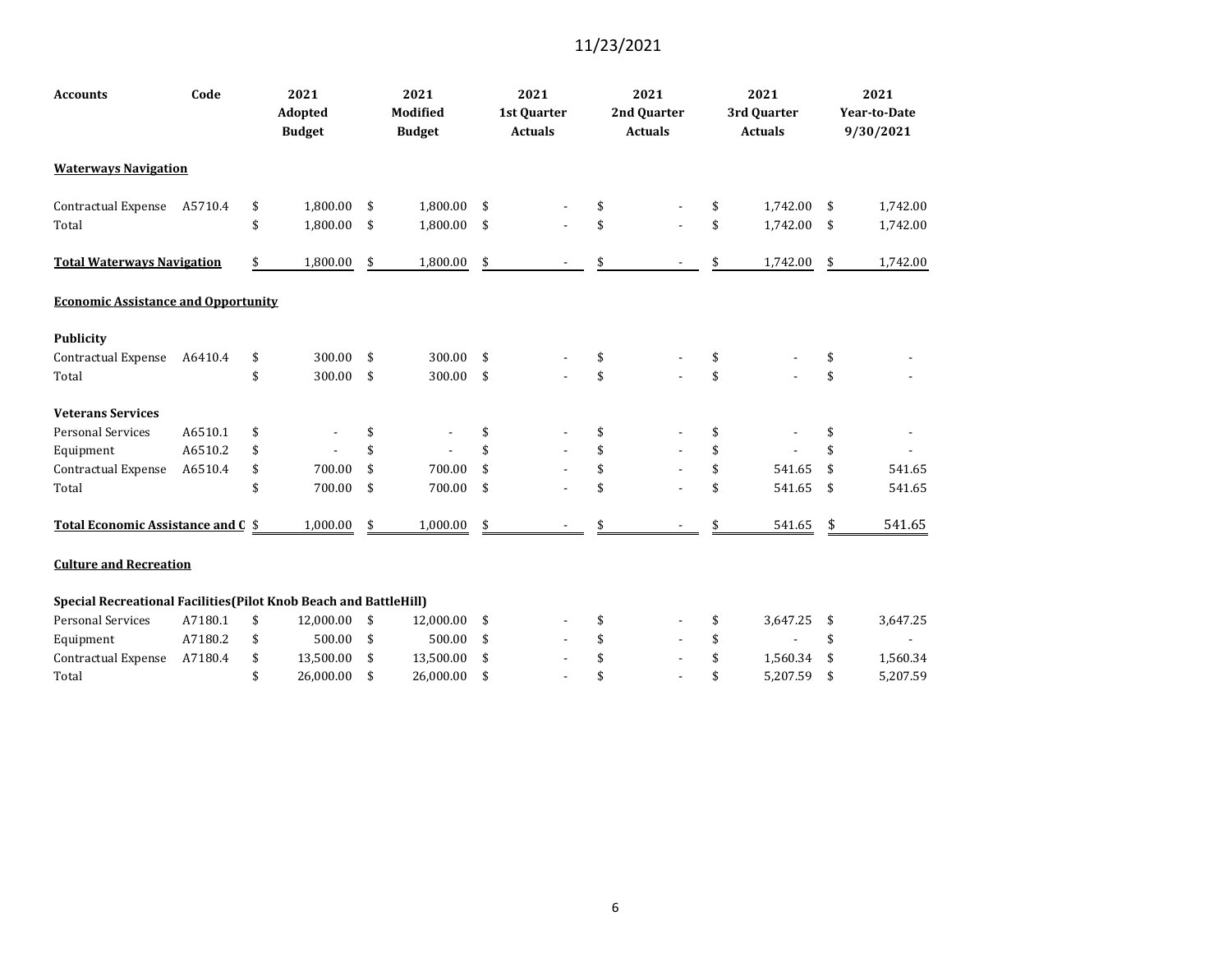| <b>Accounts</b>                                                   | Code    | 2021<br>Adopted<br><b>Budget</b> | 2021<br><b>Modified</b><br><b>Budget</b> | 2021<br>1st Ouarter<br><b>Actuals</b> | 2021<br>2nd Ouarter<br><b>Actuals</b> | 2021<br>3rd Quarter<br><b>Actuals</b> | 2021<br><b>Year-to-Date</b><br>9/30/2021 |
|-------------------------------------------------------------------|---------|----------------------------------|------------------------------------------|---------------------------------------|---------------------------------------|---------------------------------------|------------------------------------------|
| <b>Waterways Navigation</b>                                       |         |                                  |                                          |                                       |                                       |                                       |                                          |
| Contractual Expense                                               | A5710.4 | \$<br>1,800.00                   | \$<br>1,800.00                           | \$                                    | \$                                    | \$<br>1,742.00                        | \$<br>1,742.00                           |
| Total                                                             |         | \$<br>1,800.00                   | \$<br>1,800.00                           | \$                                    | \$                                    | \$<br>1,742.00                        | \$<br>1,742.00                           |
| <b>Total Waterways Navigation</b>                                 |         | \$<br>1,800.00                   | \$<br>1,800.00                           | \$                                    |                                       | \$<br>1,742.00                        | \$<br>1,742.00                           |
| <b>Economic Assistance and Opportunity</b>                        |         |                                  |                                          |                                       |                                       |                                       |                                          |
| <b>Publicity</b>                                                  |         |                                  |                                          |                                       |                                       |                                       |                                          |
| <b>Contractual Expense</b>                                        | A6410.4 | \$<br>300.00                     | \$<br>300.00                             | \$                                    | \$                                    | \$                                    | \$                                       |
| Total                                                             |         | \$<br>300.00                     | \$<br>300.00                             | \$                                    | \$                                    | \$                                    | \$                                       |
| <b>Veterans Services</b>                                          |         |                                  |                                          |                                       |                                       |                                       |                                          |
| <b>Personal Services</b>                                          | A6510.1 | \$                               | \$                                       | \$                                    | \$                                    | \$                                    | \$                                       |
| Equipment                                                         | A6510.2 | \$                               | \$                                       | \$                                    | \$                                    | \$                                    | \$                                       |
| Contractual Expense                                               | A6510.4 | \$<br>700.00                     | \$<br>700.00                             | \$                                    | \$                                    | \$<br>541.65                          | \$<br>541.65                             |
| Total                                                             |         | \$<br>700.00                     | \$<br>700.00                             | \$                                    | \$                                    | \$<br>541.65                          | \$<br>541.65                             |
| Total Economic Assistance and C \$                                |         | 1,000.00                         | \$<br>1,000.00                           | \$                                    |                                       | 541.65                                | \$<br>541.65                             |
| <b>Culture and Recreation</b>                                     |         |                                  |                                          |                                       |                                       |                                       |                                          |
| Special Recreational Facilities (Pilot Knob Beach and BattleHill) |         |                                  |                                          |                                       |                                       |                                       |                                          |
| <b>Personal Services</b>                                          | A7180.1 | \$<br>12,000.00                  | \$<br>12,000.00                          | \$                                    | \$                                    | \$<br>3,647.25                        | \$<br>3,647.25                           |
| Equipment                                                         | A7180.2 | \$<br>500.00                     | \$<br>500.00                             | \$                                    | \$                                    | \$                                    | \$                                       |
| Contractual Expense                                               | A7180.4 | \$<br>13,500.00                  | \$<br>13,500.00                          | \$                                    | \$                                    | \$<br>1,560.34                        | \$<br>1,560.34                           |
| Total                                                             |         | \$<br>26,000.00                  | \$<br>26,000.00                          | \$                                    | \$                                    | \$<br>5,207.59                        | \$<br>5,207.59                           |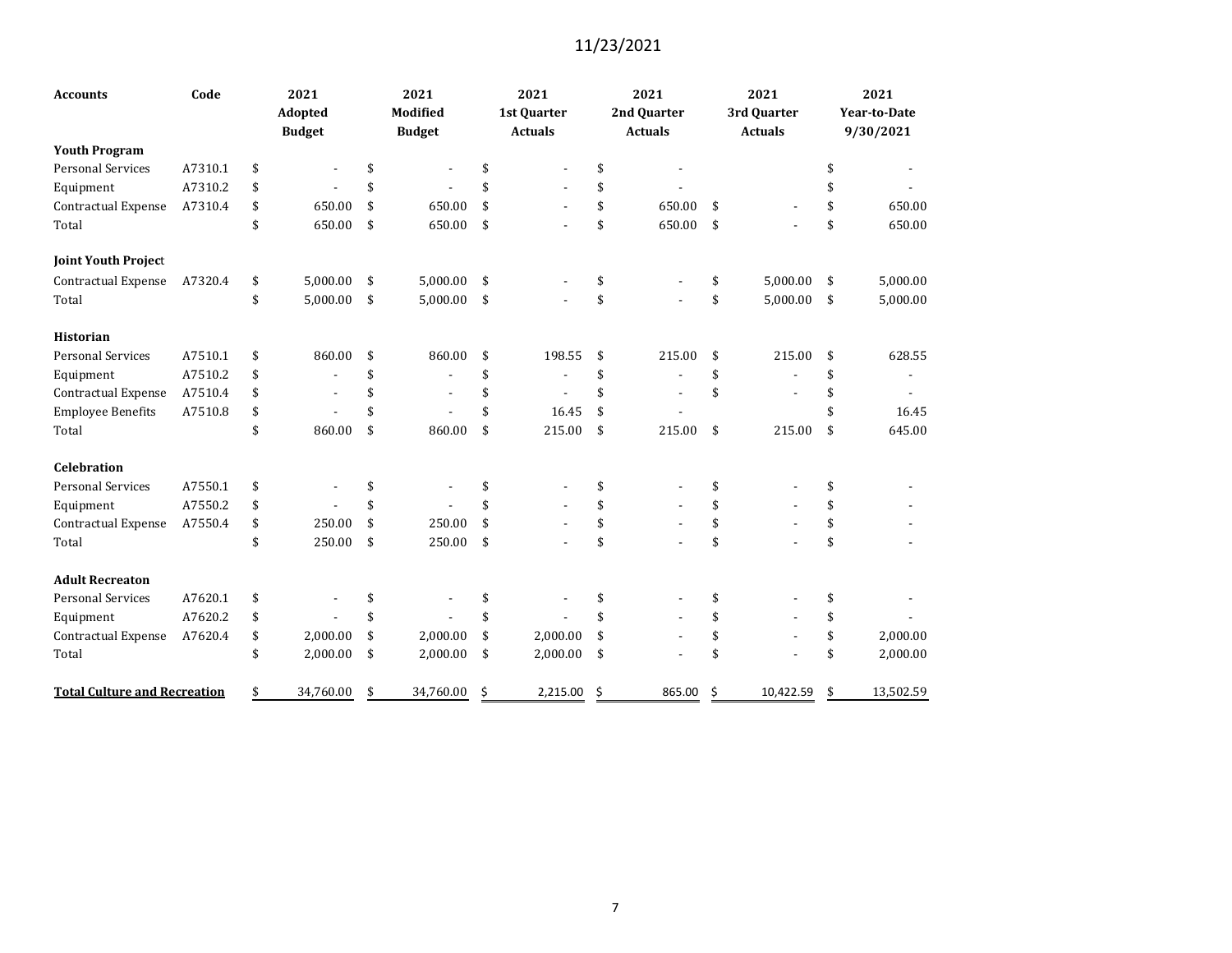| <b>Accounts</b>                     | Code    | 2021<br>Adopted<br><b>Budget</b> | 2021<br>Modified<br><b>Budget</b> | 2021<br>1st Quarter<br><b>Actuals</b> |     | 2021<br>2nd Quarter<br><b>Actuals</b> |    | 2021<br>3rd Quarter<br><b>Actuals</b> | 2021<br><b>Year-to-Date</b><br>9/30/2021 |
|-------------------------------------|---------|----------------------------------|-----------------------------------|---------------------------------------|-----|---------------------------------------|----|---------------------------------------|------------------------------------------|
| <b>Youth Program</b>                |         |                                  |                                   |                                       |     |                                       |    |                                       |                                          |
| <b>Personal Services</b>            | A7310.1 | \$                               | \$                                | \$                                    | \$  |                                       |    |                                       | \$                                       |
| Equipment                           | A7310.2 | \$                               | \$                                | \$                                    | \$  |                                       |    |                                       |                                          |
| Contractual Expense                 | A7310.4 | \$<br>650.00                     | \$<br>650.00                      | \$                                    | \$  | 650.00                                | \$ |                                       | \$<br>650.00                             |
| Total                               |         | \$<br>650.00                     | \$<br>650.00                      | \$                                    | \$  | 650.00                                | \$ |                                       | \$<br>650.00                             |
| <b>Joint Youth Project</b>          |         |                                  |                                   |                                       |     |                                       |    |                                       |                                          |
| Contractual Expense                 | A7320.4 | \$<br>5,000.00                   | \$<br>5,000.00                    | \$                                    | \$  |                                       | \$ | 5,000.00                              | \$<br>5,000.00                           |
| Total                               |         | \$<br>5,000.00                   | \$<br>5,000.00                    | \$                                    | \$  |                                       | \$ | 5,000.00                              | \$<br>5,000.00                           |
| <b>Historian</b>                    |         |                                  |                                   |                                       |     |                                       |    |                                       |                                          |
| <b>Personal Services</b>            | A7510.1 | \$<br>860.00                     | \$<br>860.00                      | \$<br>198.55                          | \$  | 215.00                                | \$ | 215.00                                | \$<br>628.55                             |
| Equipment                           | A7510.2 | \$                               | \$                                | \$                                    | \$  |                                       | \$ |                                       | \$                                       |
| Contractual Expense                 | A7510.4 | \$                               | \$                                | \$                                    | \$  |                                       | \$ |                                       | \$                                       |
| <b>Employee Benefits</b>            | A7510.8 | \$                               | \$                                | \$<br>16.45                           | \$  |                                       |    |                                       | \$<br>16.45                              |
| Total                               |         | \$<br>860.00                     | \$<br>860.00                      | \$<br>215.00                          | \$  | 215.00                                | \$ | 215.00                                | \$<br>645.00                             |
| <b>Celebration</b>                  |         |                                  |                                   |                                       |     |                                       |    |                                       |                                          |
| <b>Personal Services</b>            | A7550.1 | \$                               | \$                                | \$                                    | \$  |                                       | \$ |                                       | \$                                       |
| Equipment                           | A7550.2 | \$                               | \$                                | \$                                    | \$  |                                       | \$ |                                       | \$                                       |
| Contractual Expense                 | A7550.4 | \$<br>250.00                     | \$<br>250.00                      | \$                                    | \$  |                                       | \$ |                                       | \$                                       |
| Total                               |         | \$<br>250.00                     | \$<br>250.00                      | \$                                    | \$  |                                       | \$ |                                       | \$                                       |
| <b>Adult Recreaton</b>              |         |                                  |                                   |                                       |     |                                       |    |                                       |                                          |
| <b>Personal Services</b>            | A7620.1 | \$                               | \$                                | \$                                    | \$  |                                       | \$ |                                       | \$                                       |
| Equipment                           | A7620.2 | \$                               | \$                                | \$                                    | \$  |                                       | \$ |                                       | \$                                       |
| Contractual Expense                 | A7620.4 | \$<br>2,000.00                   | \$<br>2,000.00                    | \$<br>2,000.00                        | \$  |                                       | \$ |                                       | \$<br>2,000.00                           |
| Total                               |         | \$<br>2,000.00                   | \$<br>2,000.00                    | \$<br>2,000.00                        | \$  |                                       | \$ |                                       | \$<br>2,000.00                           |
| <b>Total Culture and Recreation</b> |         | \$<br>34,760.00                  | \$<br>34,760.00                   | \$<br>2,215.00                        | -\$ | 865.00                                | Ŝ. | 10,422.59                             | \$<br>13,502.59                          |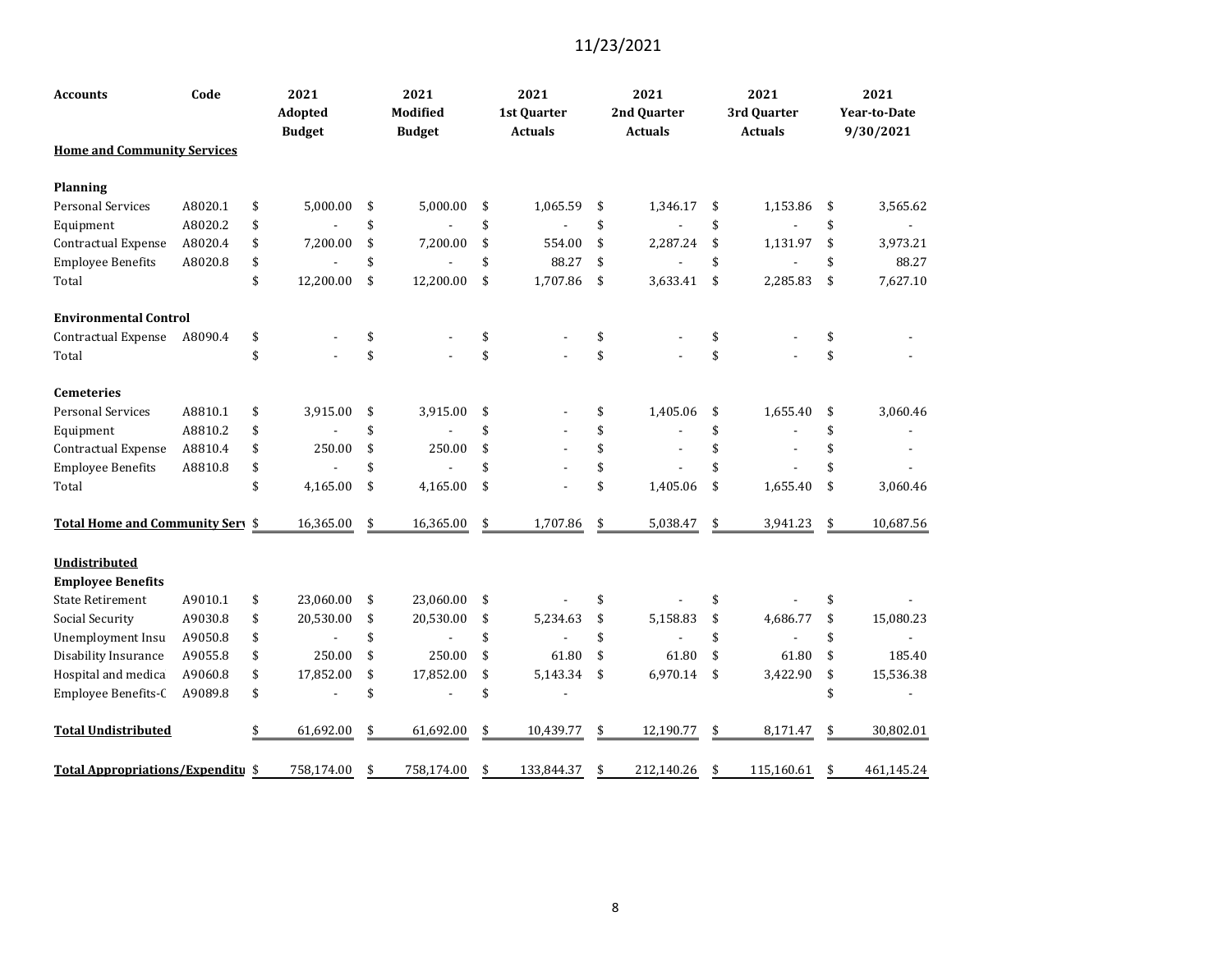| <b>Accounts</b>                                  | Code    | 2021<br><b>Adopted</b><br><b>Budget</b> | 2021<br>Modified<br><b>Budget</b> | 2021<br>1st Quarter<br><b>Actuals</b> | 2021<br>2nd Quarter<br><b>Actuals</b> | 2021<br>3rd Quarter<br><b>Actuals</b> | 2021<br><b>Year-to-Date</b><br>9/30/2021 |
|--------------------------------------------------|---------|-----------------------------------------|-----------------------------------|---------------------------------------|---------------------------------------|---------------------------------------|------------------------------------------|
| <b>Home and Community Services</b>               |         |                                         |                                   |                                       |                                       |                                       |                                          |
| <b>Planning</b>                                  |         |                                         |                                   |                                       |                                       |                                       |                                          |
| Personal Services                                | A8020.1 | \$<br>5,000.00                          | \$<br>5,000.00                    | \$<br>1,065.59                        | \$<br>1,346.17                        | \$<br>1,153.86                        | \$<br>3,565.62                           |
| Equipment                                        | A8020.2 | \$                                      | \$                                | \$                                    | \$                                    | \$                                    | \$                                       |
| Contractual Expense                              | A8020.4 | \$<br>7,200.00                          | \$<br>7,200.00                    | \$<br>554.00                          | \$<br>2,287.24                        | \$<br>1,131.97                        | \$<br>3,973.21                           |
| <b>Employee Benefits</b>                         | A8020.8 | \$                                      | \$                                | \$<br>88.27                           | \$                                    | \$                                    | \$<br>88.27                              |
| Total                                            |         | \$<br>12,200.00                         | \$<br>12,200.00                   | \$<br>1,707.86                        | \$<br>3,633.41                        | \$<br>2,285.83                        | \$<br>7,627.10                           |
| <b>Environmental Control</b>                     |         |                                         |                                   |                                       |                                       |                                       |                                          |
| Contractual Expense                              | A8090.4 | \$                                      | \$                                | \$                                    | \$                                    | \$                                    | \$                                       |
| Total                                            |         | \$                                      | \$                                | \$                                    | \$                                    | \$                                    | \$                                       |
| <b>Cemeteries</b>                                |         |                                         |                                   |                                       |                                       |                                       |                                          |
| <b>Personal Services</b>                         | A8810.1 | \$<br>3,915.00                          | \$<br>3,915.00                    | \$                                    | \$<br>1,405.06                        | \$<br>1,655.40                        | \$<br>3,060.46                           |
| Equipment                                        | A8810.2 | \$                                      | \$                                | \$                                    | \$                                    | \$                                    | \$                                       |
| <b>Contractual Expense</b>                       | A8810.4 | \$<br>250.00                            | \$<br>250.00                      | \$                                    | \$                                    | \$                                    |                                          |
| <b>Employee Benefits</b>                         | A8810.8 | \$                                      | \$                                | \$                                    | \$                                    | \$                                    |                                          |
| Total                                            |         | \$<br>4,165.00                          | \$<br>4,165.00                    | \$                                    | \$<br>1,405.06                        | \$<br>1,655.40                        | \$<br>3,060.46                           |
| Total Home and Community Sery \$                 |         | 16,365.00                               | \$<br>16,365.00                   | \$<br>1,707.86                        | \$<br>5,038.47                        | \$<br>3,941.23                        | \$<br>10,687.56                          |
| <b>Undistributed</b><br><b>Employee Benefits</b> |         |                                         |                                   |                                       |                                       |                                       |                                          |
| <b>State Retirement</b>                          | A9010.1 | \$<br>23,060.00                         | \$<br>23,060.00                   | \$                                    | \$                                    | \$                                    | \$                                       |
| Social Security                                  | A9030.8 | \$<br>20,530.00                         | \$<br>20,530.00                   | \$<br>5,234.63                        | \$<br>5,158.83                        | \$<br>4,686.77                        | \$<br>15,080.23                          |
| Unemployment Insu                                | A9050.8 | \$<br>$\blacksquare$                    | \$                                | \$                                    | \$                                    | \$                                    | \$                                       |
| Disability Insurance                             | A9055.8 | \$<br>250.00                            | \$<br>250.00                      | \$<br>61.80                           | \$<br>61.80                           | \$<br>61.80                           | \$<br>185.40                             |
| Hospital and medica                              | A9060.8 | \$<br>17,852.00                         | \$<br>17,852.00                   | \$<br>5,143.34                        | \$<br>6,970.14                        | \$<br>3,422.90                        | \$<br>15,536.38                          |
| Employee Benefits-C                              | A9089.8 | \$<br>÷,                                | \$                                | \$                                    |                                       |                                       | \$                                       |
| <b>Total Undistributed</b>                       |         | \$<br>61,692.00                         | \$<br>61,692.00                   | \$<br>10,439.77                       | \$<br>12,190.77                       | \$<br>8,171.47                        | \$<br>30,802.01                          |
| <b>Total Appropriations/Expenditu \$</b>         |         | 758,174.00                              | \$<br>758,174.00                  | \$<br>133,844.37                      | \$<br>212,140.26                      | \$<br>115,160.61                      | \$<br>461,145.24                         |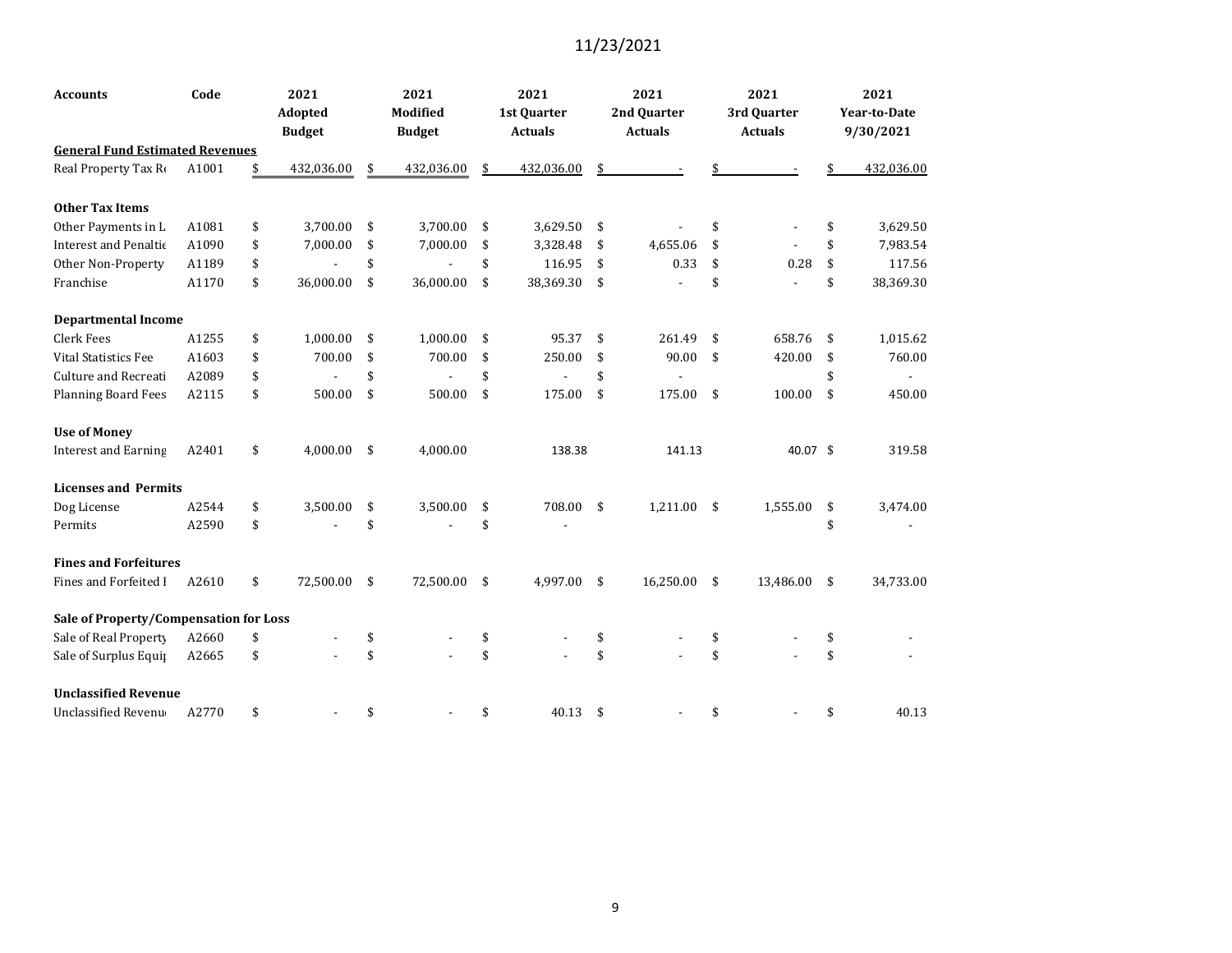| Accounts                               | Code  | 2021            | 2021             | 2021             |     | 2021           |     | 2021           | 2021                |
|----------------------------------------|-------|-----------------|------------------|------------------|-----|----------------|-----|----------------|---------------------|
|                                        |       | <b>Adopted</b>  | Modified         | 1st Quarter      |     | 2nd Quarter    |     | 3rd Quarter    | <b>Year-to-Date</b> |
|                                        |       | <b>Budget</b>   | <b>Budget</b>    | <b>Actuals</b>   |     | <b>Actuals</b> |     | <b>Actuals</b> | 9/30/2021           |
| <b>General Fund Estimated Revenues</b> |       |                 |                  |                  |     |                |     |                |                     |
| Real Property Tax Ro                   | A1001 | 432,036.00      | \$<br>432,036.00 | \$<br>432,036.00 |     |                |     |                | 432,036.00          |
| <b>Other Tax Items</b>                 |       |                 |                  |                  |     |                |     |                |                     |
| Other Payments in L                    | A1081 | \$<br>3,700.00  | \$<br>3,700.00   | \$<br>3,629.50   | \$  |                | \$  |                | \$<br>3,629.50      |
| <b>Interest and Penaltic</b>           | A1090 | \$<br>7,000.00  | \$<br>7,000.00   | \$<br>3,328.48   | \$  | 4,655.06       | \$  |                | \$<br>7,983.54      |
| Other Non-Property                     | A1189 | \$              | \$               | \$<br>116.95     | \$  | 0.33           | \$  | 0.28           | \$<br>117.56        |
| Franchise                              | A1170 | \$<br>36,000.00 | \$<br>36,000.00  | \$<br>38,369.30  | \$  |                | \$  |                | \$<br>38,369.30     |
| <b>Departmental Income</b>             |       |                 |                  |                  |     |                |     |                |                     |
| <b>Clerk Fees</b>                      | A1255 | \$<br>1,000.00  | \$<br>1,000.00   | \$<br>95.37      | \$  | 261.49         | \$  | 658.76         | \$<br>1,015.62      |
| <b>Vital Statistics Fee</b>            | A1603 | \$<br>700.00    | \$<br>700.00     | \$<br>250.00     | \$  | 90.00          | \$  | 420.00         | \$<br>760.00        |
| Culture and Recreati                   | A2089 | \$              | \$               | \$               | \$  |                |     |                | \$                  |
| <b>Planning Board Fees</b>             | A2115 | \$<br>500.00    | \$<br>500.00     | \$<br>175.00     | \$  | 175.00         | \$  | 100.00         | \$<br>450.00        |
| <b>Use of Money</b>                    |       |                 |                  |                  |     |                |     |                |                     |
| <b>Interest and Earning</b>            | A2401 | \$<br>4,000.00  | \$<br>4,000.00   | 138.38           |     | 141.13         |     | 40.07 \$       | 319.58              |
| <b>Licenses and Permits</b>            |       |                 |                  |                  |     |                |     |                |                     |
| Dog License                            | A2544 | \$<br>3,500.00  | \$<br>3,500.00   | \$<br>708.00     | -\$ | 1,211.00       | -\$ | 1,555.00       | \$<br>3,474.00      |
| Permits                                | A2590 | \$              | \$               | \$               |     |                |     |                | \$                  |
| <b>Fines and Forfeitures</b>           |       |                 |                  |                  |     |                |     |                |                     |
| Fines and Forfeited I                  | A2610 | \$<br>72,500.00 | \$<br>72,500.00  | \$<br>4,997.00   | \$  | 16,250.00      | \$  | 13,486.00      | \$<br>34,733.00     |
| Sale of Property/Compensation for Loss |       |                 |                  |                  |     |                |     |                |                     |
| Sale of Real Property                  | A2660 | \$              | \$               | \$               | \$  |                | \$  |                | \$                  |
| Sale of Surplus Equip                  | A2665 | \$              | \$               | \$               | \$  |                | \$  |                | \$                  |
| <b>Unclassified Revenue</b>            |       |                 |                  |                  |     |                |     |                |                     |
| Unclassified Revenu                    | A2770 | \$              | \$               | \$<br>40.13      | \$  |                | \$  |                | \$<br>40.13         |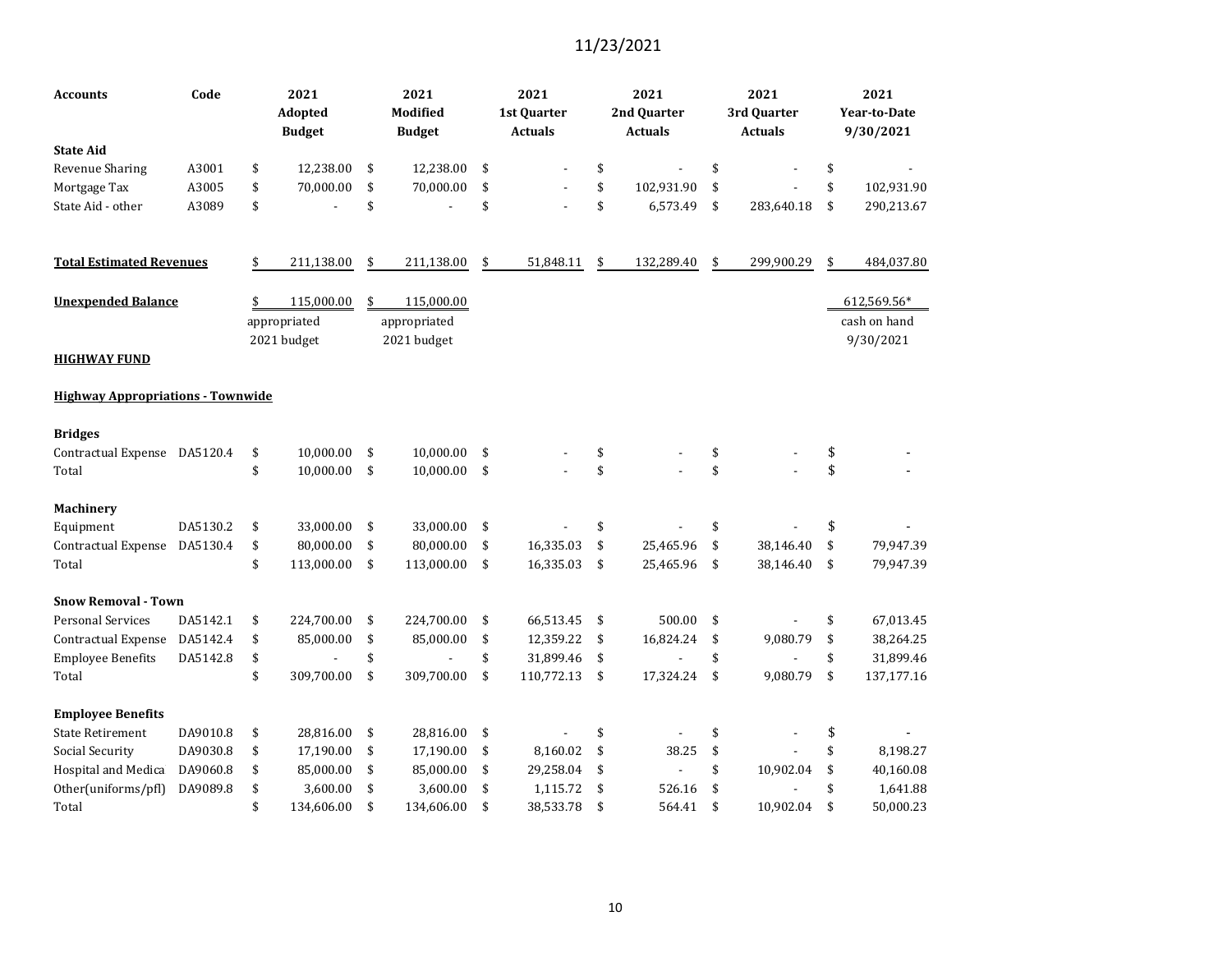| <b>Accounts</b>                          | Code     | 2021<br><b>Adopted</b><br><b>Budget</b> | 2021<br><b>Modified</b><br><b>Budget</b> | 2021<br>1st Quarter<br><b>Actuals</b> | 2021<br>2nd Quarter<br><b>Actuals</b> | 2021<br>3rd Quarter<br><b>Actuals</b> | 2021<br><b>Year-to-Date</b><br>9/30/2021 |
|------------------------------------------|----------|-----------------------------------------|------------------------------------------|---------------------------------------|---------------------------------------|---------------------------------------|------------------------------------------|
| <b>State Aid</b>                         |          |                                         |                                          |                                       |                                       |                                       |                                          |
| Revenue Sharing                          | A3001    | \$<br>12,238.00                         | \$<br>12,238.00                          | \$                                    | \$                                    | \$                                    | \$                                       |
| Mortgage Tax                             | A3005    | \$<br>70,000.00                         | \$<br>70,000.00                          | \$                                    | \$<br>102,931.90                      | \$                                    | \$<br>102,931.90                         |
| State Aid - other                        | A3089    | \$                                      | \$                                       | \$                                    | \$<br>6,573.49                        | \$<br>283,640.18                      | \$<br>290,213.67                         |
| <b>Total Estimated Revenues</b>          |          | \$<br>211,138.00                        | \$<br>211,138.00                         | \$<br>51,848.11                       | \$<br>132,289.40                      | \$<br>299,900.29                      | \$<br>484,037.80                         |
| <b>Unexpended Balance</b>                |          | \$<br>115,000.00<br>appropriated        | \$<br>115,000.00<br>appropriated         |                                       |                                       |                                       | 612,569.56*<br>cash on hand              |
| <b>HIGHWAY FUND</b>                      |          | 2021 budget                             | 2021 budget                              |                                       |                                       |                                       | 9/30/2021                                |
| <b>Highway Appropriations - Townwide</b> |          |                                         |                                          |                                       |                                       |                                       |                                          |
| <b>Bridges</b>                           |          |                                         |                                          |                                       |                                       |                                       |                                          |
| Contractual Expense DA5120.4             |          | \$<br>10,000.00                         | \$<br>10,000.00                          | \$                                    | \$                                    | \$                                    | \$                                       |
| Total                                    |          | \$<br>10,000.00                         | \$<br>10,000.00                          | \$                                    | \$                                    | \$                                    | \$                                       |
| Machinery                                |          |                                         |                                          |                                       |                                       |                                       |                                          |
| Equipment                                | DA5130.2 | \$<br>33,000.00                         | \$<br>33,000.00                          | \$                                    | \$                                    | \$                                    | \$                                       |
| <b>Contractual Expense</b>               | DA5130.4 | \$<br>80,000.00                         | \$<br>80,000.00                          | \$<br>16,335.03                       | \$<br>25,465.96                       | \$<br>38,146.40                       | \$<br>79,947.39                          |
| Total                                    |          | \$<br>113,000.00                        | \$<br>113,000.00                         | \$<br>16,335.03                       | \$<br>25,465.96                       | \$<br>38,146.40                       | \$<br>79,947.39                          |
| <b>Snow Removal - Town</b>               |          |                                         |                                          |                                       |                                       |                                       |                                          |
| <b>Personal Services</b>                 | DA5142.1 | \$<br>224,700.00                        | \$<br>224,700.00                         | \$<br>66,513.45                       | \$<br>500.00                          | \$                                    | \$<br>67,013.45                          |
| <b>Contractual Expense</b>               | DA5142.4 | \$<br>85,000.00                         | \$<br>85,000.00                          | \$<br>12,359.22                       | \$<br>16,824.24                       | \$<br>9,080.79                        | \$<br>38,264.25                          |
| <b>Employee Benefits</b>                 | DA5142.8 | \$                                      | \$                                       | \$<br>31,899.46                       | \$                                    | \$                                    | \$<br>31,899.46                          |
| Total                                    |          | \$<br>309,700.00                        | \$<br>309,700.00                         | \$<br>110,772.13                      | \$<br>17,324.24                       | \$<br>9,080.79                        | \$<br>137,177.16                         |
| <b>Employee Benefits</b>                 |          |                                         |                                          |                                       |                                       |                                       |                                          |
| <b>State Retirement</b>                  | DA9010.8 | \$<br>28,816.00                         | \$<br>28,816.00                          | \$                                    | \$                                    | \$                                    | \$                                       |
| Social Security                          | DA9030.8 | \$<br>17,190.00                         | \$<br>17,190.00                          | \$<br>8,160.02                        | \$<br>38.25                           | \$                                    | \$<br>8,198.27                           |
| Hospital and Medica                      | DA9060.8 | \$<br>85,000.00                         | \$<br>85,000.00                          | \$<br>29,258.04                       | \$                                    | \$<br>10,902.04                       | \$<br>40,160.08                          |
| Other(uniforms/pfl)                      | DA9089.8 | \$<br>3,600.00                          | \$<br>3,600.00                           | \$<br>1,115.72                        | \$<br>526.16                          | \$                                    | \$<br>1,641.88                           |
| Total                                    |          | \$<br>134,606.00                        | \$<br>134,606.00                         | \$<br>38,533.78                       | \$<br>564.41                          | \$<br>10,902.04                       | \$<br>50,000.23                          |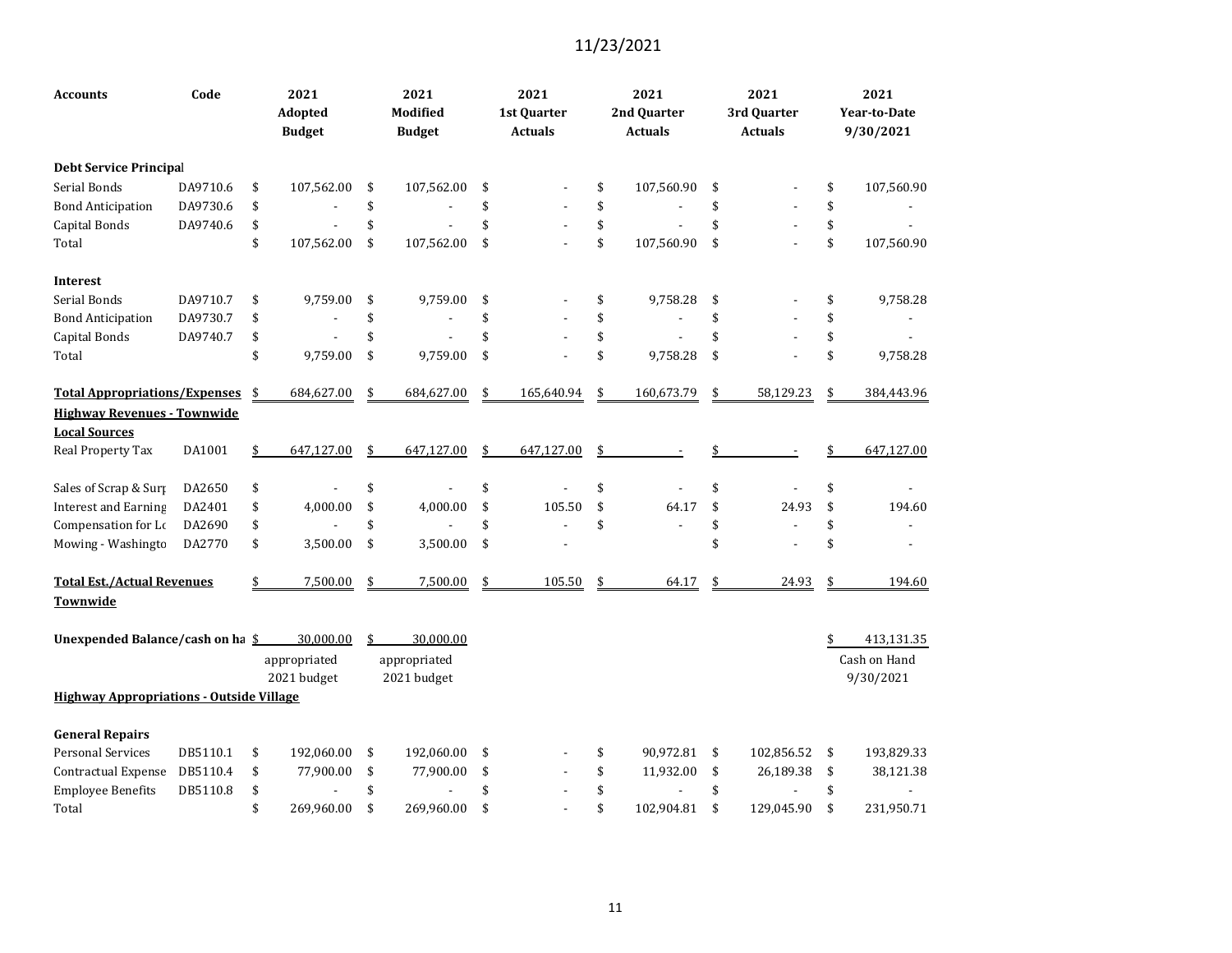| <b>Accounts</b>                                 | Code     | 2021<br>Adopted<br><b>Budget</b> | 2021<br><b>Modified</b><br><b>Budget</b> | 2021<br>1st Quarter<br><b>Actuals</b> | 2021<br>2nd Quarter<br><b>Actuals</b> | 2021<br>3rd Quarter<br><b>Actuals</b> | 2021<br><b>Year-to-Date</b><br>9/30/2021 |
|-------------------------------------------------|----------|----------------------------------|------------------------------------------|---------------------------------------|---------------------------------------|---------------------------------------|------------------------------------------|
| <b>Debt Service Principal</b>                   |          |                                  |                                          |                                       |                                       |                                       |                                          |
| Serial Bonds                                    | DA9710.6 | \$<br>107,562.00                 | \$<br>107,562.00                         | \$                                    | \$<br>107,560.90                      | \$                                    | \$<br>107,560.90                         |
| <b>Bond Anticipation</b>                        | DA9730.6 | \$                               | \$                                       | \$                                    | \$                                    | \$                                    | \$                                       |
| Capital Bonds                                   | DA9740.6 | \$                               | \$                                       | \$                                    | \$                                    | \$                                    | \$                                       |
| Total                                           |          | \$<br>107,562.00                 | \$<br>107,562.00                         | \$                                    | \$<br>107,560.90                      | \$                                    | \$<br>107,560.90                         |
| <b>Interest</b>                                 |          |                                  |                                          |                                       |                                       |                                       |                                          |
| Serial Bonds                                    | DA9710.7 | \$<br>9,759.00                   | \$<br>9,759.00                           | \$                                    | \$<br>9,758.28                        | \$                                    | \$<br>9,758.28                           |
| <b>Bond Anticipation</b>                        | DA9730.7 | \$                               | \$                                       | \$                                    | \$                                    | \$                                    | \$                                       |
| Capital Bonds                                   | DA9740.7 | \$                               | \$                                       | \$                                    | \$                                    | \$                                    | \$                                       |
| Total                                           |          | \$<br>9,759.00                   | \$<br>9,759.00                           | \$                                    | \$<br>9,758.28                        | \$                                    | \$<br>9,758.28                           |
| <b>Total Appropriations/Expenses</b>            |          | \$<br>684,627.00                 | \$<br>684,627.00                         | \$<br>165,640.94                      | \$<br>160,673.79                      | \$<br>58,129.23                       | \$<br>384,443.96                         |
| <b>Highway Revenues - Townwide</b>              |          |                                  |                                          |                                       |                                       |                                       |                                          |
| <b>Local Sources</b>                            |          |                                  |                                          |                                       |                                       |                                       |                                          |
| Real Property Tax                               | DA1001   | \$<br>647,127.00                 | \$<br>647,127.00                         | \$<br>647,127.00                      | \$                                    |                                       | 647,127.00                               |
| Sales of Scrap & Surp                           | DA2650   | \$                               | \$                                       | \$                                    | \$                                    | \$                                    | \$                                       |
| <b>Interest and Earning</b>                     | DA2401   | \$<br>4,000.00                   | \$<br>4,000.00                           | \$<br>105.50                          | \$<br>64.17                           | \$<br>24.93                           | \$<br>194.60                             |
| Compensation for Lo                             | DA2690   | \$                               | \$                                       | \$                                    | \$                                    | \$                                    | \$                                       |
| Mowing - Washingto                              | DA2770   | \$<br>3,500.00                   | \$<br>3,500.00                           | \$                                    |                                       | \$                                    | \$                                       |
| <b>Total Est./Actual Revenues</b>               |          | \$<br>7,500.00                   | \$<br>7,500.00                           | \$<br>105.50                          | \$<br>64.17                           | \$<br>24.93                           | \$<br>194.60                             |
| Townwide                                        |          |                                  |                                          |                                       |                                       |                                       |                                          |
| Unexpended Balance/cash on ha \$                |          | 30,000.00                        | \$<br>30,000.00                          |                                       |                                       |                                       | 413,131.35                               |
|                                                 |          | appropriated                     | appropriated                             |                                       |                                       |                                       | Cash on Hand                             |
|                                                 |          | 2021 budget                      | 2021 budget                              |                                       |                                       |                                       | 9/30/2021                                |
| <b>Highway Appropriations - Outside Village</b> |          |                                  |                                          |                                       |                                       |                                       |                                          |
| <b>General Repairs</b>                          |          |                                  |                                          |                                       |                                       |                                       |                                          |
| <b>Personal Services</b>                        | DB5110.1 | \$<br>192,060.00                 | \$<br>192,060.00                         | \$                                    | \$<br>90,972.81                       | \$<br>102,856.52                      | \$<br>193,829.33                         |
| Contractual Expense                             | DB5110.4 | \$<br>77,900.00                  | \$<br>77,900.00                          | \$                                    | \$<br>11,932.00                       | \$<br>26,189.38                       | \$<br>38,121.38                          |
| <b>Employee Benefits</b>                        | DB5110.8 | \$                               | \$                                       | \$                                    | \$                                    | \$                                    | \$                                       |
| Total                                           |          | \$<br>269,960.00                 | \$<br>269,960.00                         | \$                                    | \$<br>102,904.81                      | \$<br>129,045.90                      | \$<br>231,950.71                         |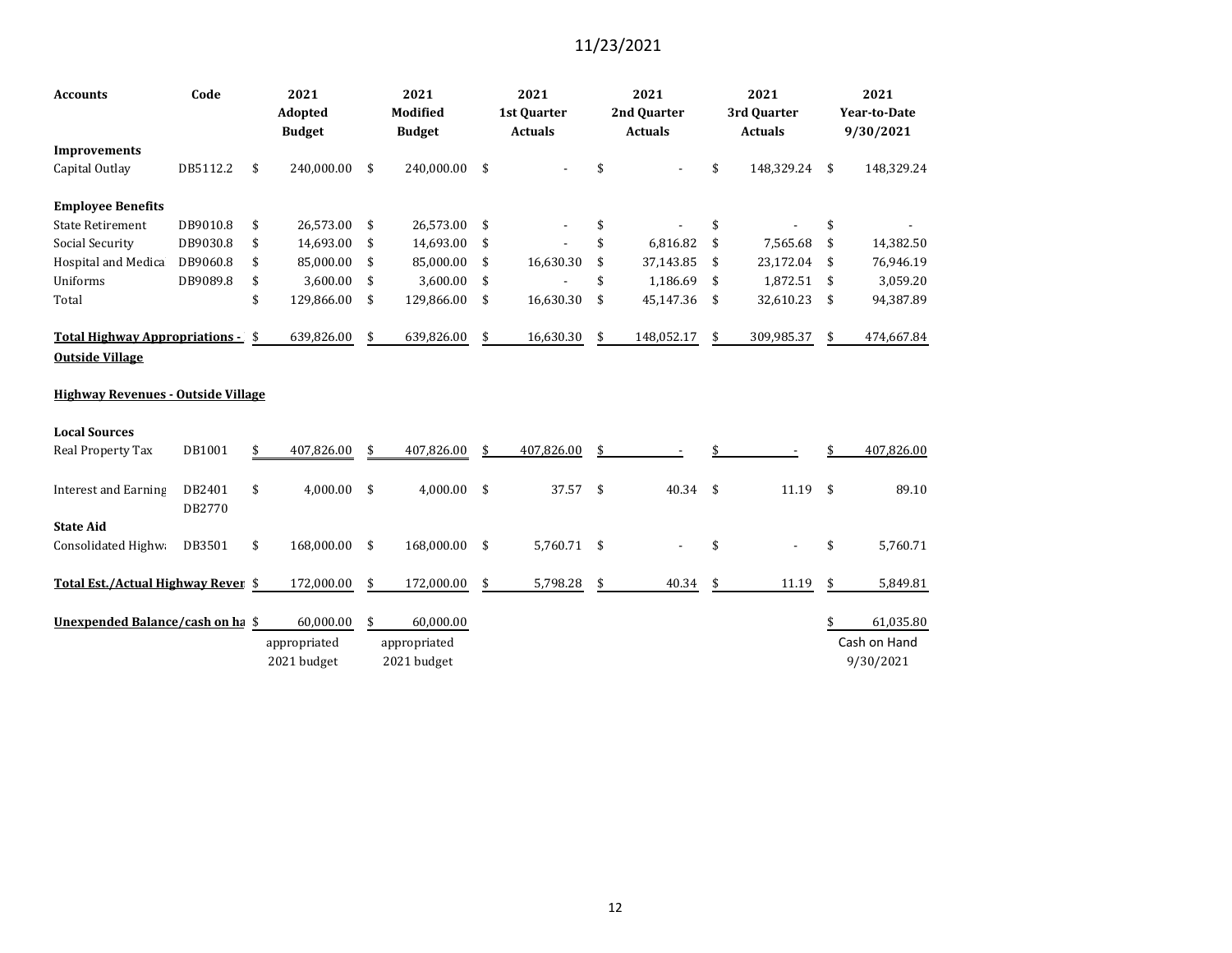| <b>Accounts</b>                                             | Code             | 2021<br>Adopted<br><b>Budget</b> | 2021<br>Modified<br><b>Budget</b> | 2021<br>1st Ouarter<br><b>Actuals</b> |     | 2021<br>2nd Ouarter<br><b>Actuals</b> |     | 2021<br>3rd Ouarter<br><b>Actuals</b> |    | 2021<br><b>Year-to-Date</b><br>9/30/2021 |
|-------------------------------------------------------------|------------------|----------------------------------|-----------------------------------|---------------------------------------|-----|---------------------------------------|-----|---------------------------------------|----|------------------------------------------|
| <b>Improvements</b>                                         |                  |                                  |                                   |                                       |     |                                       |     |                                       |    |                                          |
| Capital Outlay                                              | DB5112.2         | \$<br>240,000.00                 | \$<br>240,000.00                  | \$                                    |     |                                       | \$  | 148,329.24                            | \$ | 148,329.24                               |
| <b>Employee Benefits</b>                                    |                  |                                  |                                   |                                       |     |                                       |     |                                       |    |                                          |
| <b>State Retirement</b>                                     | DB9010.8         | \$<br>26,573.00                  | \$<br>26,573.00                   | \$                                    |     |                                       |     |                                       | \$ |                                          |
| Social Security                                             | DB9030.8         | \$<br>14,693.00                  | \$<br>14,693.00                   | \$                                    |     | 6,816.82                              | \$  | 7,565.68                              | \$ | 14,382.50                                |
| Hospital and Medica                                         | DB9060.8         | \$<br>85,000.00                  | \$<br>85,000.00                   | \$<br>16,630.30                       | \$  | 37,143.85                             | \$  | 23,172.04                             | \$ | 76,946.19                                |
| Uniforms                                                    | DB9089.8         | \$<br>3,600.00                   | \$<br>3,600.00                    | \$                                    |     | 1,186.69                              | -\$ | 1,872.51                              | -S | 3,059.20                                 |
| Total                                                       |                  | \$<br>129,866.00                 | \$<br>129,866.00                  | \$<br>16,630.30                       | \$  | 45,147.36                             | -\$ | 32,610.23                             | \$ | 94,387.89                                |
| Total Highway Appropriations - \$<br><b>Outside Village</b> |                  | 639,826.00                       | \$<br>639,826.00                  | \$<br>16,630.30                       |     | 148,052.17                            | \$  | 309,985.37                            | \$ | 474,667.84                               |
| <b>Highway Revenues - Outside Village</b>                   |                  |                                  |                                   |                                       |     |                                       |     |                                       |    |                                          |
| <b>Local Sources</b>                                        |                  |                                  |                                   |                                       |     |                                       |     |                                       |    |                                          |
| Real Property Tax                                           | DB1001           | \$<br>407,826.00                 | \$<br>407,826.00                  | \$<br>407,826.00                      |     |                                       |     |                                       |    | 407,826.00                               |
| <b>Interest and Earning</b>                                 | DB2401<br>DB2770 | \$<br>4,000.00                   | \$<br>4,000.00                    | \$<br>37.57                           | -\$ | $40.34$ \$                            |     | 11.19                                 | \$ | 89.10                                    |
| <b>State Aid</b>                                            |                  |                                  |                                   |                                       |     |                                       |     |                                       |    |                                          |
| Consolidated Highwa                                         | DB3501           | \$<br>168,000.00                 | \$<br>168,000.00                  | \$<br>5,760.71 \$                     |     |                                       | \$  |                                       | \$ | 5,760.71                                 |
| Total Est./Actual Highway Rever \$                          |                  | 172,000.00                       | \$<br>172,000.00                  | \$<br>5,798.28                        | \$  | 40.34                                 | \$  | 11.19                                 | \$ | 5,849.81                                 |
| Unexpended Balance/cash on ha \$                            |                  | 60,000.00                        | \$<br>60,000.00                   |                                       |     |                                       |     |                                       | \$ | 61,035.80                                |
|                                                             |                  | appropriated                     | appropriated                      |                                       |     |                                       |     |                                       |    | Cash on Hand                             |
|                                                             |                  | 2021 budget                      | 2021 budget                       |                                       |     |                                       |     |                                       |    | 9/30/2021                                |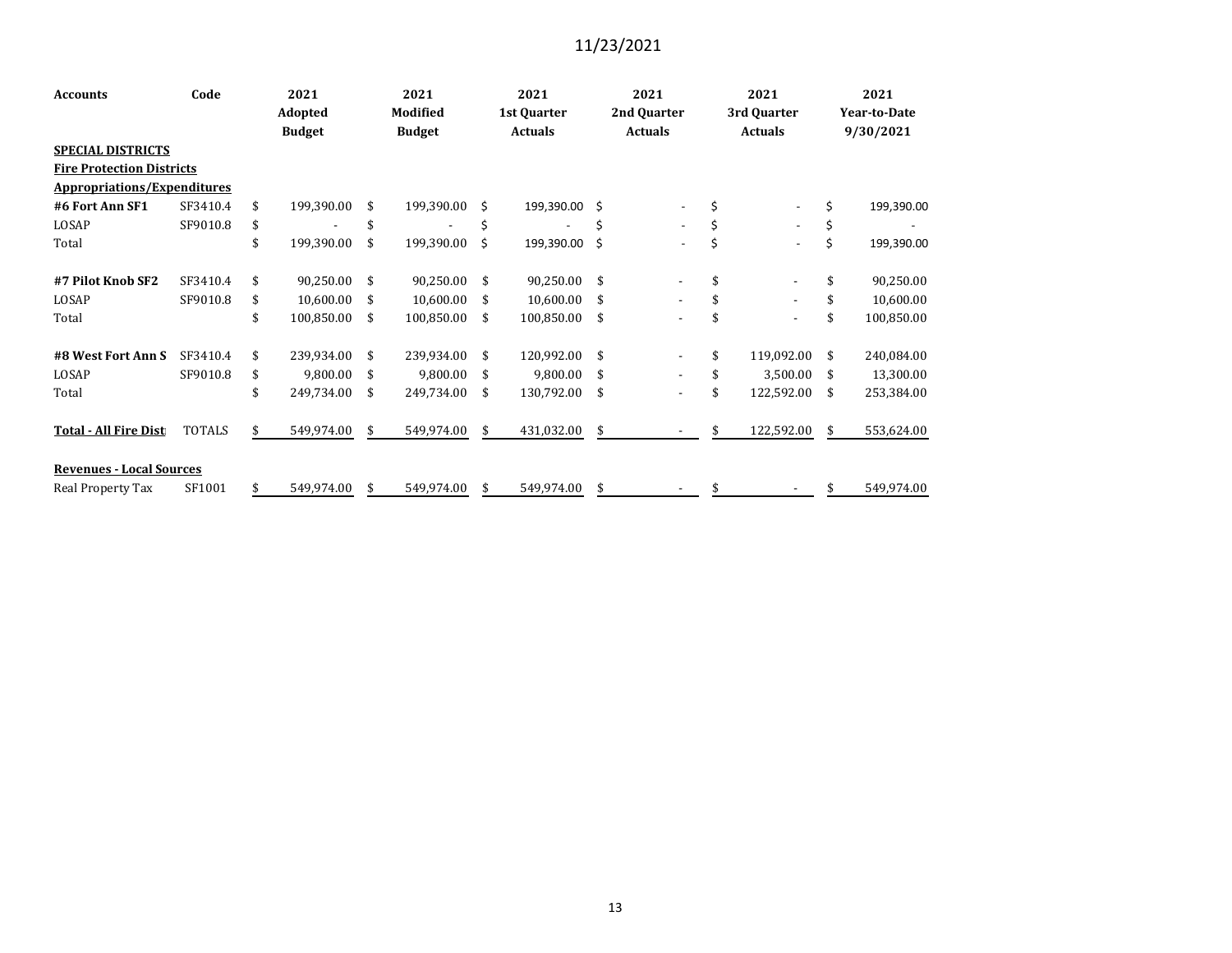| <b>Accounts</b>                    | Code          | 2021<br>Adopted |               | 2021<br><b>Modified</b> |                          | 2021<br>1st Quarter |                | 2021<br>2nd Quarter |                          | 2021<br>3rd Quarter |                          | 2021<br>Year-to-Date |            |
|------------------------------------|---------------|-----------------|---------------|-------------------------|--------------------------|---------------------|----------------|---------------------|--------------------------|---------------------|--------------------------|----------------------|------------|
|                                    |               |                 | <b>Budget</b> |                         | <b>Budget</b>            |                     | <b>Actuals</b> |                     | <b>Actuals</b>           |                     | <b>Actuals</b>           | 9/30/2021            |            |
| <b>SPECIAL DISTRICTS</b>           |               |                 |               |                         |                          |                     |                |                     |                          |                     |                          |                      |            |
| <b>Fire Protection Districts</b>   |               |                 |               |                         |                          |                     |                |                     |                          |                     |                          |                      |            |
| <b>Appropriations/Expenditures</b> |               |                 |               |                         |                          |                     |                |                     |                          |                     |                          |                      |            |
| #6 Fort Ann SF1                    | SF3410.4      | \$              | 199,390.00    | \$                      | 199,390.00               | Ŝ.                  | 199,390.00 \$  |                     |                          | \$                  |                          | \$                   | 199,390.00 |
| LOSAP                              | SF9010.8      | \$              |               | \$                      | $\overline{\phantom{a}}$ | \$                  |                | \$                  | $\overline{a}$           | \$                  | $\overline{\phantom{a}}$ | \$                   |            |
| Total                              |               | \$              | 199,390.00    | \$                      | 199,390.00               | Ś.                  | 199,390.00 \$  |                     |                          | \$                  |                          | \$                   | 199,390.00 |
| #7 Pilot Knob SF2                  | SF3410.4      | \$              | 90,250.00     | \$                      | 90,250.00                | \$                  | 90,250.00      | - \$                |                          | \$                  |                          | \$                   | 90,250.00  |
| LOSAP                              | SF9010.8      | \$              | 10,600.00     | \$                      | 10,600.00                | \$                  | 10,600.00      | \$                  |                          |                     |                          | \$                   | 10,600.00  |
| Total                              |               | \$              | 100,850.00    | \$                      | 100,850.00               | \$                  | 100,850.00     | \$                  | ٠                        |                     |                          | \$                   | 100,850.00 |
| #8 West Fort Ann S                 | SF3410.4      | \$              | 239,934.00    | \$                      | 239,934.00               | \$                  | 120,992.00     | \$                  | $\overline{\phantom{a}}$ | \$                  | 119,092.00               | \$                   | 240,084.00 |
| LOSAP                              | SF9010.8      | \$              | 9,800.00      | \$                      | 9,800.00                 | \$                  | 9,800.00       | -\$                 | $\overline{\phantom{a}}$ | \$                  | 3,500.00                 | \$                   | 13,300.00  |
| Total                              |               | \$              | 249,734.00    | \$                      | 249,734.00               | \$                  | 130,792.00     | \$                  |                          | \$                  | 122,592.00               | \$                   | 253,384.00 |
| <b>Total - All Fire Dist</b>       | <b>TOTALS</b> | \$              | 549,974.00    | \$                      | 549,974.00               | \$                  | 431,032.00     | \$                  |                          | \$                  | 122,592.00               | \$                   | 553,624.00 |
| <b>Revenues - Local Sources</b>    |               |                 |               |                         |                          |                     |                |                     |                          |                     |                          |                      |            |
| Real Property Tax                  | SF1001        | \$              | 549,974.00    | \$                      | 549,974.00               | \$                  | 549,974.00     | \$                  |                          | \$                  |                          | \$                   | 549,974.00 |